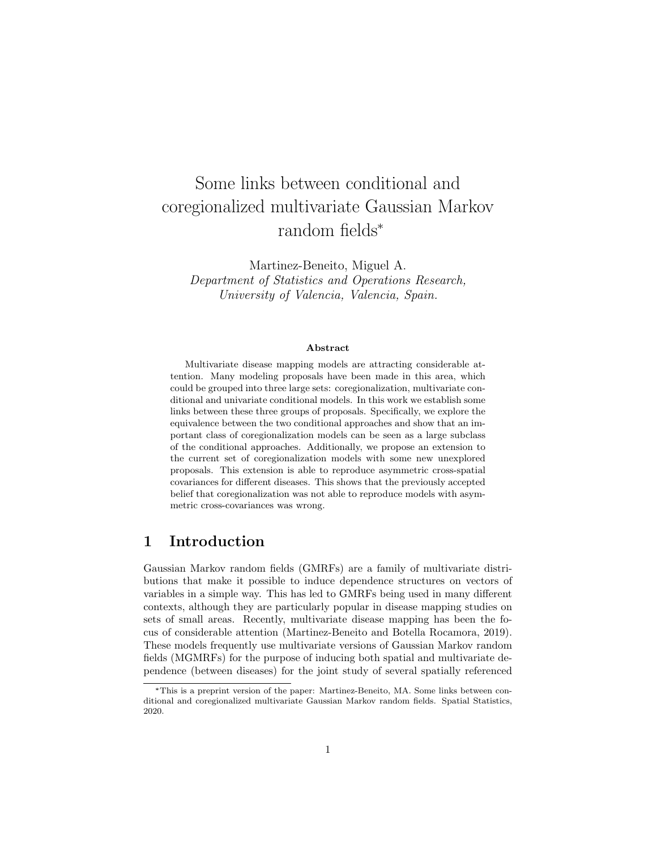# Some links between conditional and coregionalized multivariate Gaussian Markov random fields\*

Martinez-Beneito, Miguel A. Department of Statistics and Operations Research, University of Valencia, Valencia, Spain.

#### Abstract

Multivariate disease mapping models are attracting considerable attention. Many modeling proposals have been made in this area, which could be grouped into three large sets: coregionalization, multivariate conditional and univariate conditional models. In this work we establish some links between these three groups of proposals. Specifically, we explore the equivalence between the two conditional approaches and show that an important class of coregionalization models can be seen as a large subclass of the conditional approaches. Additionally, we propose an extension to the current set of coregionalization models with some new unexplored proposals. This extension is able to reproduce asymmetric cross-spatial covariances for different diseases. This shows that the previously accepted belief that coregionalization was not able to reproduce models with asymmetric cross-covariances was wrong.

## 1 Introduction

Gaussian Markov random fields (GMRFs) are a family of multivariate distributions that make it possible to induce dependence structures on vectors of variables in a simple way. This has led to GMRFs being used in many different contexts, although they are particularly popular in disease mapping studies on sets of small areas. Recently, multivariate disease mapping has been the focus of considerable attention (Martinez-Beneito and Botella Rocamora, 2019). These models frequently use multivariate versions of Gaussian Markov random fields (MGMRFs) for the purpose of inducing both spatial and multivariate dependence (between diseases) for the joint study of several spatially referenced

<sup>\*</sup>This is a preprint version of the paper: Martinez-Beneito, MA. Some links between conditional and coregionalized multivariate Gaussian Markov random fields. Spatial Statistics, 2020.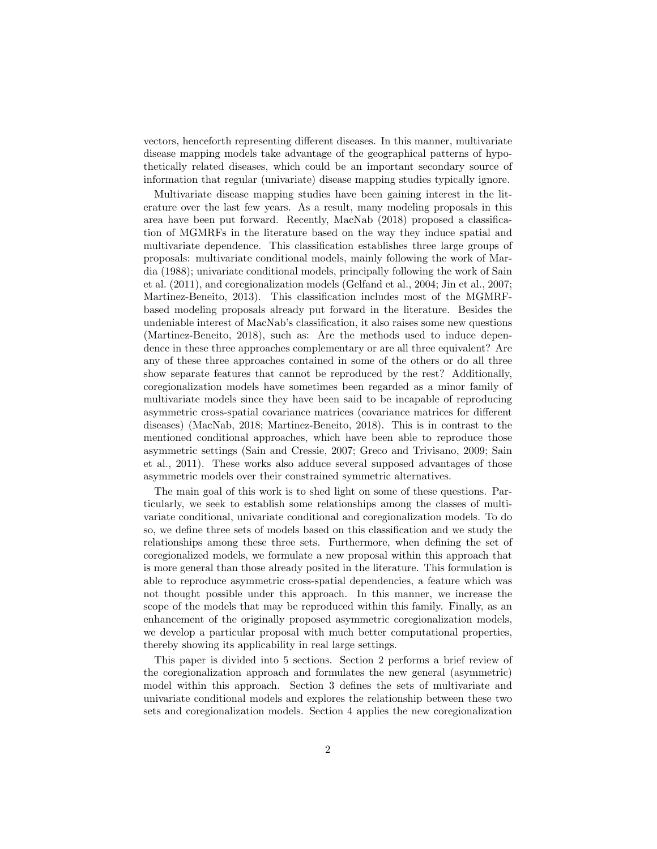vectors, henceforth representing different diseases. In this manner, multivariate disease mapping models take advantage of the geographical patterns of hypothetically related diseases, which could be an important secondary source of information that regular (univariate) disease mapping studies typically ignore.

Multivariate disease mapping studies have been gaining interest in the literature over the last few years. As a result, many modeling proposals in this area have been put forward. Recently, MacNab (2018) proposed a classification of MGMRFs in the literature based on the way they induce spatial and multivariate dependence. This classification establishes three large groups of proposals: multivariate conditional models, mainly following the work of Mardia (1988); univariate conditional models, principally following the work of Sain et al. (2011), and coregionalization models (Gelfand et al., 2004; Jin et al., 2007; Martinez-Beneito, 2013). This classification includes most of the MGMRFbased modeling proposals already put forward in the literature. Besides the undeniable interest of MacNab's classification, it also raises some new questions (Martinez-Beneito, 2018), such as: Are the methods used to induce dependence in these three approaches complementary or are all three equivalent? Are any of these three approaches contained in some of the others or do all three show separate features that cannot be reproduced by the rest? Additionally, coregionalization models have sometimes been regarded as a minor family of multivariate models since they have been said to be incapable of reproducing asymmetric cross-spatial covariance matrices (covariance matrices for different diseases) (MacNab, 2018; Martinez-Beneito, 2018). This is in contrast to the mentioned conditional approaches, which have been able to reproduce those asymmetric settings (Sain and Cressie, 2007; Greco and Trivisano, 2009; Sain et al., 2011). These works also adduce several supposed advantages of those asymmetric models over their constrained symmetric alternatives.

The main goal of this work is to shed light on some of these questions. Particularly, we seek to establish some relationships among the classes of multivariate conditional, univariate conditional and coregionalization models. To do so, we define three sets of models based on this classification and we study the relationships among these three sets. Furthermore, when defining the set of coregionalized models, we formulate a new proposal within this approach that is more general than those already posited in the literature. This formulation is able to reproduce asymmetric cross-spatial dependencies, a feature which was not thought possible under this approach. In this manner, we increase the scope of the models that may be reproduced within this family. Finally, as an enhancement of the originally proposed asymmetric coregionalization models, we develop a particular proposal with much better computational properties, thereby showing its applicability in real large settings.

This paper is divided into 5 sections. Section 2 performs a brief review of the coregionalization approach and formulates the new general (asymmetric) model within this approach. Section 3 defines the sets of multivariate and univariate conditional models and explores the relationship between these two sets and coregionalization models. Section 4 applies the new coregionalization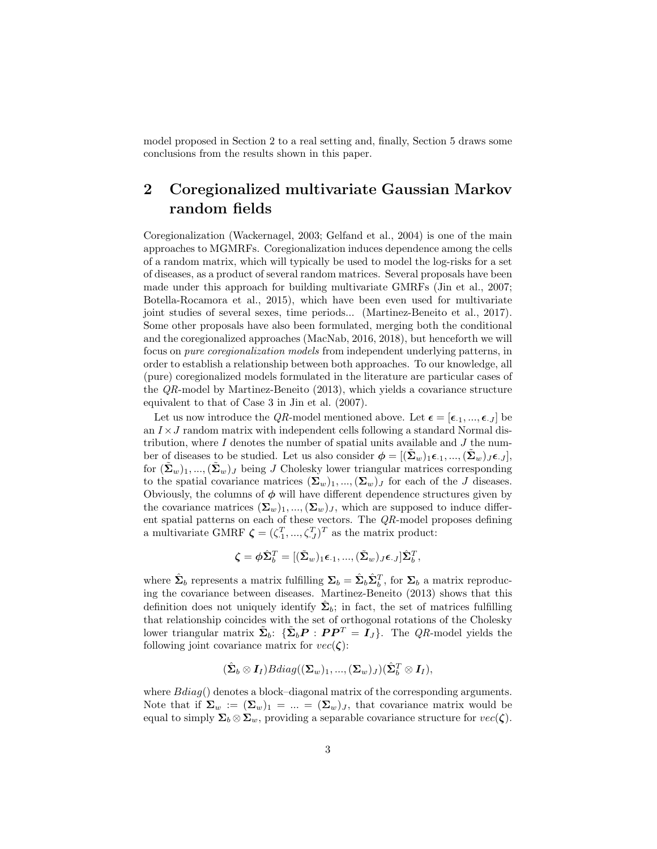model proposed in Section 2 to a real setting and, finally, Section 5 draws some conclusions from the results shown in this paper.

## 2 Coregionalized multivariate Gaussian Markov random fields

Coregionalization (Wackernagel, 2003; Gelfand et al., 2004) is one of the main approaches to MGMRFs. Coregionalization induces dependence among the cells of a random matrix, which will typically be used to model the log-risks for a set of diseases, as a product of several random matrices. Several proposals have been made under this approach for building multivariate GMRFs (Jin et al., 2007; Botella-Rocamora et al., 2015), which have been even used for multivariate joint studies of several sexes, time periods... (Martinez-Beneito et al., 2017). Some other proposals have also been formulated, merging both the conditional and the coregionalized approaches (MacNab, 2016, 2018), but henceforth we will focus on pure coregionalization models from independent underlying patterns, in order to establish a relationship between both approaches. To our knowledge, all (pure) coregionalized models formulated in the literature are particular cases of the QR-model by Martinez-Beneito (2013), which yields a covariance structure equivalent to that of Case 3 in Jin et al. (2007).

Let us now introduce the QR-model mentioned above. Let  $\boldsymbol{\epsilon} = [\epsilon_1, ..., \epsilon_J]$  be an  $I \times J$  random matrix with independent cells following a standard Normal distribution, where  $I$  denotes the number of spatial units available and  $J$  the number of diseases to be studied. Let us also consider  $\phi = [(\Sigma_w)_{1} \epsilon_{-1}, ..., (\Sigma_w)_{J} \epsilon_{-J}]$ , for  $(\Sigma_w)_{1}, ..., (\Sigma_w)_{J}$  being J Cholesky lower triangular matrices corresponding to the spatial covariance matrices  $(\Sigma_w)_1, ..., (\Sigma_w)_J$  for each of the J diseases. Obviously, the columns of  $\phi$  will have different dependence structures given by the covariance matrices  $(\Sigma_w)_1, ..., (\Sigma_w)_J$ , which are supposed to induce different spatial patterns on each of these vectors. The  $QR$ -model proposes defining a multivariate GMRF  $\boldsymbol{\zeta} = (\zeta_1^T, ..., \zeta_J^T)^T$  as the matrix product:

$$
\boldsymbol{\zeta} = \boldsymbol{\phi} \hat{\boldsymbol{\Sigma}}_{b}^T = [(\tilde{\boldsymbol{\Sigma}}_w)_1 \boldsymbol{\epsilon}_{\cdot 1}, ..., (\tilde{\boldsymbol{\Sigma}}_w)_J \boldsymbol{\epsilon}_{\cdot J}] \hat{\boldsymbol{\Sigma}}_{b}^T,
$$

where  $\hat{\Sigma}_b$  represents a matrix fulfilling  $\Sigma_b = \hat{\Sigma}_b \hat{\Sigma}_b^T$ , for  $\Sigma_b$  a matrix reproducing the covariance between diseases. Martinez-Beneito (2013) shows that this definition does not uniquely identify  $\hat{\Sigma}_b$ ; in fact, the set of matrices fulfilling that relationship coincides with the set of orthogonal rotations of the Cholesky lower triangular matrix  $\tilde{\Sigma}_b$ : { $\tilde{\Sigma}_b$ **P** : **PP**<sup>T</sup> =  $I_J$ }. The *QR*-model yields the following joint covariance matrix for  $vec(\zeta)$ :

$$
(\hat{\boldsymbol{\Sigma}}_b \otimes \boldsymbol{I}_I)Bdiag((\boldsymbol{\Sigma}_w)_1,...,(\boldsymbol{\Sigma}_w)_J)(\hat{\boldsymbol{\Sigma}}_b^T \otimes \boldsymbol{I}_I),
$$

where  $Bdiag()$  denotes a block–diagonal matrix of the corresponding arguments. Note that if  $\Sigma_w := (\Sigma_w)_1 = ... = (\Sigma_w)_J$ , that covariance matrix would be equal to simply  $\Sigma_b \otimes \Sigma_w$ , providing a separable covariance structure for  $vec(\zeta)$ .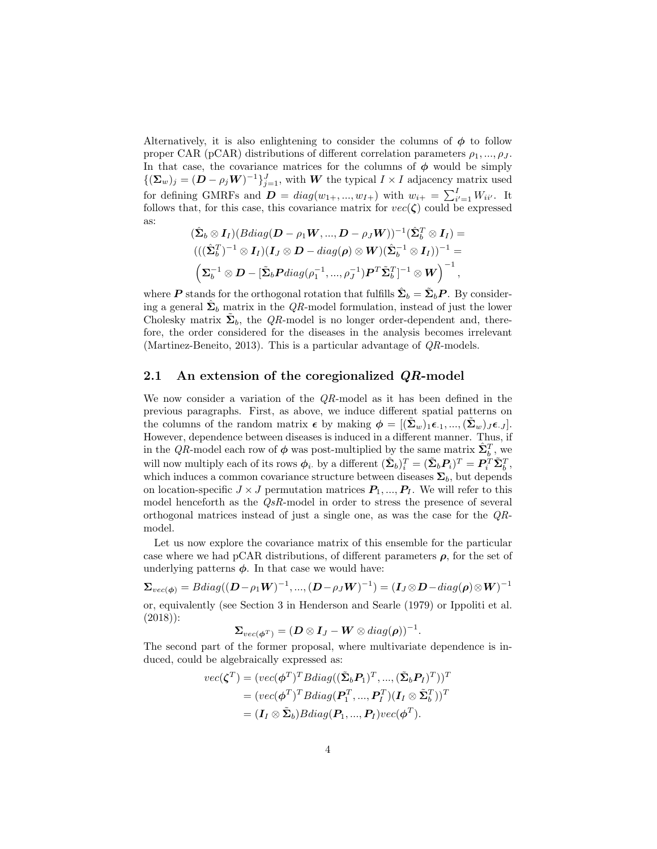Alternatively, it is also enlightening to consider the columns of  $\phi$  to follow proper CAR (pCAR) distributions of different correlation parameters  $\rho_1, ..., \rho_J$ . In that case, the covariance matrices for the columns of  $\phi$  would be simply  ${(\sum_{w})_j = (D - \rho_j W)^{-1}\}_{j=1}^J$ , with W the typical  $I \times I$  adjacency matrix used for defining GMRFs and  $\boldsymbol{D} = diag(w_{1+},...,w_{I+})$  with  $w_{i+} = \sum_{i'=1}^{I} W_{ii'}$ . It follows that, for this case, this covariance matrix for  $vec(\zeta)$  could be expressed as:

$$
(\hat{\mathbf{\Sigma}}_b \otimes \mathbf{I}_I)(Bdiag(\mathbf{D} - \rho_1 \mathbf{W}, ..., \mathbf{D} - \rho_J \mathbf{W}))^{-1} (\hat{\mathbf{\Sigma}}_b^T \otimes \mathbf{I}_I) =
$$
  

$$
(((\hat{\mathbf{\Sigma}}_b^T)^{-1} \otimes \mathbf{I}_I)(\mathbf{I}_J \otimes \mathbf{D} - diag(\boldsymbol{\rho}) \otimes \mathbf{W})(\hat{\mathbf{\Sigma}}_b^{-1} \otimes \mathbf{I}_I))^{-1} =
$$
  

$$
(\mathbf{\Sigma}_b^{-1} \otimes \mathbf{D} - [\tilde{\mathbf{\Sigma}}_b \mathbf{P} diag(\rho_1^{-1}, ..., \rho_J^{-1}) \mathbf{P}^T \tilde{\mathbf{\Sigma}}_b^T]^{-1} \otimes \mathbf{W})^{-1},
$$

where **P** stands for the orthogonal rotation that fulfills  $\hat{\Sigma}_b = \tilde{\Sigma}_b P$ . By considering a general  $\hat{\Sigma}_b$  matrix in the QR-model formulation, instead of just the lower Cholesky matrix  $\tilde{\Sigma}_b$ , the QR-model is no longer order-dependent and, therefore, the order considered for the diseases in the analysis becomes irrelevant (Martinez-Beneito, 2013). This is a particular advantage of  $QR$ -models.

#### 2.1 An extension of the coregionalized  $QR$ -model

We now consider a variation of the QR-model as it has been defined in the previous paragraphs. First, as above, we induce different spatial patterns on the columns of the random matrix  $\epsilon$  by making  $\phi = [(\Sigma_w)_1 \epsilon_{.1}, ..., (\Sigma_w)_J \epsilon_{.J}].$ However, dependence between diseases is induced in a different manner. Thus, if in the QR-model each row of  $\phi$  was post-multiplied by the same matrix  $\hat{\Sigma}_{b}^{T}$ , we will now multiply each of its rows  $\phi_i$ , by a different  $(\hat{\Sigma}_b)_i^T = (\tilde{\Sigma}_b P_i)^T = P_i^T \tilde{\Sigma}_b^T$ , which induces a common covariance structure between diseases  $\Sigma_b$ , but depends on location-specific  $J \times J$  permutation matrices  $P_1, ..., P_J$ . We will refer to this model henceforth as the QsR-model in order to stress the presence of several orthogonal matrices instead of just a single one, as was the case for the QRmodel.

Let us now explore the covariance matrix of this ensemble for the particular case where we had pCAR distributions, of different parameters  $\rho$ , for the set of underlying patterns  $\phi$ . In that case we would have:

 $\boldsymbol{\Sigma}_{vec(\boldsymbol{\phi})} = Bdiag((\boldsymbol{D}-\rho_{1}\boldsymbol{W})^{-1},...,(\boldsymbol{D}-\rho_{J}\boldsymbol{W})^{-1}) = (\boldsymbol{I}_{J} \!\otimes\! \boldsymbol{D} \!-\! diag(\boldsymbol{\rho}) \!\otimes\! \boldsymbol{W})^{-1}$ 

or, equivalently (see Section 3 in Henderson and Searle (1979) or Ippoliti et al. (2018)):

$$
\mathbf{\Sigma}_{vec(\boldsymbol{\phi}^T)} = (\boldsymbol{D} \otimes \boldsymbol{I}_J - \boldsymbol{W} \otimes diag(\boldsymbol{\rho}))^{-1}.
$$

The second part of the former proposal, where multivariate dependence is induced, could be algebraically expressed as:

$$
vec(\boldsymbol{\zeta}^T) = (vec(\boldsymbol{\phi}^T)^T B diag((\tilde{\boldsymbol{\Sigma}}_b \boldsymbol{P}_1)^T, ..., (\tilde{\boldsymbol{\Sigma}}_b \boldsymbol{P}_I)^T))^T
$$
  
= 
$$
(vec(\boldsymbol{\phi}^T)^T B diag(\boldsymbol{P}_1^T, ..., \boldsymbol{P}_I^T) (\boldsymbol{I}_I \otimes \tilde{\boldsymbol{\Sigma}}_b^T))^T
$$
  
= 
$$
(\boldsymbol{I}_I \otimes \tilde{\boldsymbol{\Sigma}}_b) B diag(\boldsymbol{P}_1, ..., \boldsymbol{P}_I) vec(\boldsymbol{\phi}^T).
$$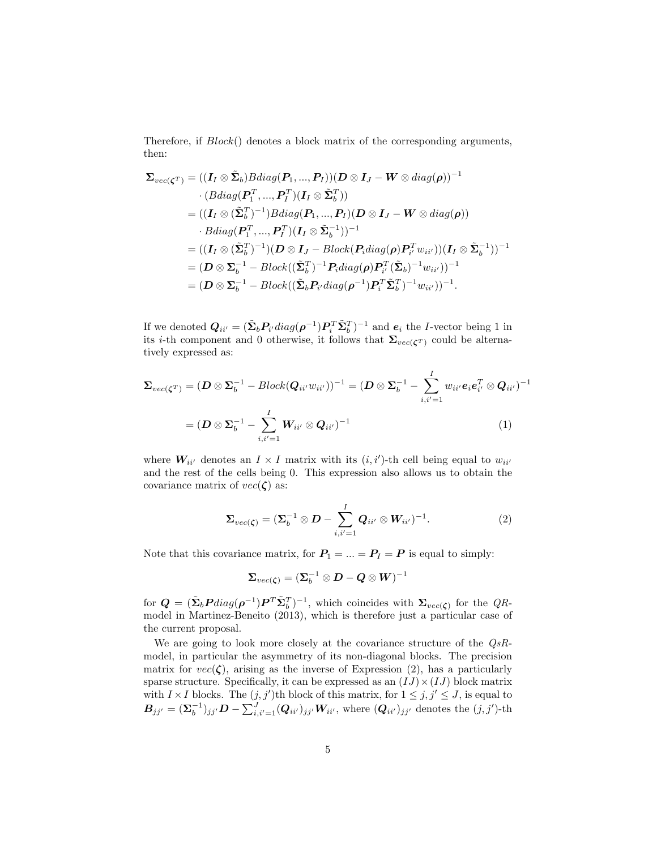Therefore, if  $Block()$  denotes a block matrix of the corresponding arguments, then:

$$
\Sigma_{vec(\zeta^T)} = ((I_I \otimes \tilde{\Sigma}_b)Bdiag(P_1, ..., P_I))(D \otimes I_J - W \otimes diag(\rho))^{-1}
$$
  
\n
$$
\cdot (Bdiag(P_1^T, ..., P_I^T)(I_I \otimes \tilde{\Sigma}_b^T))
$$
  
\n
$$
= ((I_I \otimes (\tilde{\Sigma}_b^T)^{-1})Bdiag(P_1, ..., P_I)(D \otimes I_J - W \otimes diag(\rho))
$$
  
\n
$$
\cdot Bdiag(P_1^T, ..., P_I^T)(I_I \otimes \tilde{\Sigma}_b^{-1}))^{-1}
$$
  
\n
$$
= ((I_I \otimes (\tilde{\Sigma}_b^T)^{-1})(D \otimes I_J - Block(P_i diag(\rho) P_{i'}^T w_{ii'}))(I_I \otimes \tilde{\Sigma}_b^{-1}))^{-1}
$$
  
\n
$$
= (D \otimes \Sigma_b^{-1} - Block((\tilde{\Sigma}_b^T)^{-1} P_i diag(\rho) P_{i'}^T (\tilde{\Sigma}_b)^{-1} w_{ii'}))^{-1}
$$
  
\n
$$
= (D \otimes \Sigma_b^{-1} - Block((\tilde{\Sigma}_b P_i / diag(\rho^{-1}) P_i^T \tilde{\Sigma}_b^T)^{-1} w_{ii'}))^{-1}.
$$

If we denoted  $Q_{ii'} = (\tilde{\Sigma}_b P_{i'} diag(\rho^{-1}) P_i^T \tilde{\Sigma}_b^T)^{-1}$  and  $e_i$  the *I*-vector being 1 in its *i*-th component and 0 otherwise, it follows that  $\Sigma_{vec(\zeta^T)}$  could be alternatively expressed as:

$$
\Sigma_{vec(\boldsymbol{\zeta}^T)} = (\boldsymbol{D} \otimes \boldsymbol{\Sigma}_b^{-1} - Block(\boldsymbol{Q}_{ii'}w_{ii'}))^{-1} = (\boldsymbol{D} \otimes \boldsymbol{\Sigma}_b^{-1} - \sum_{i,i'=1}^I w_{ii'} \boldsymbol{e}_i \boldsymbol{e}_{i'}^T \otimes \boldsymbol{Q}_{ii'})^{-1}
$$

$$
= (\boldsymbol{D} \otimes \boldsymbol{\Sigma}_b^{-1} - \sum_{i,i'=1}^I \boldsymbol{W}_{ii'} \otimes \boldsymbol{Q}_{ii'})^{-1}
$$
(1)

where  $W_{ii'}$  denotes an  $I \times I$  matrix with its  $(i, i')$ -th cell being equal to  $w_{ii'}$ and the rest of the cells being 0. This expression also allows us to obtain the covariance matrix of  $vec(\zeta)$  as:

$$
\Sigma_{vec(\zeta)} = (\Sigma_b^{-1} \otimes D - \sum_{i,i'=1}^I Q_{ii'} \otimes W_{ii'})^{-1}.
$$
 (2)

Note that this covariance matrix, for  $P_1 = ... = P_I = P$  is equal to simply:

$$
\boldsymbol{\Sigma}_{vec(\boldsymbol{\zeta})} = (\boldsymbol{\Sigma}_{b}^{-1} \otimes \boldsymbol{D} - \boldsymbol{Q} \otimes \boldsymbol{W})^{-1}
$$

for  $Q = (\tilde{\Sigma}_b P diag(\rho^{-1}) P^T \tilde{\Sigma}_b^T)^{-1}$ , which coincides with  $\Sigma_{vec(\zeta)}$  for the  $QR$ model in Martinez-Beneito (2013), which is therefore just a particular case of the current proposal.

We are going to look more closely at the covariance structure of the  $QsR$ model, in particular the asymmetry of its non-diagonal blocks. The precision matrix for  $vec(\zeta)$ , arising as the inverse of Expression (2), has a particularly sparse structure. Specifically, it can be expressed as an  $(IJ)\times (IJ)$  block matrix with  $I \times I$  blocks. The  $(j, j')$ th block of this matrix, for  $1 \leq j, j' \leq J$ , is equal to  $B_{jj'} = (\Sigma_b^{-1})_{jj'} D - \sum_{i,i'=1}^J (Q_{ii'})_{jj'} W_{ii'},$  where  $(Q_{ii'})_{jj'}$  denotes the  $(j,j')$ -th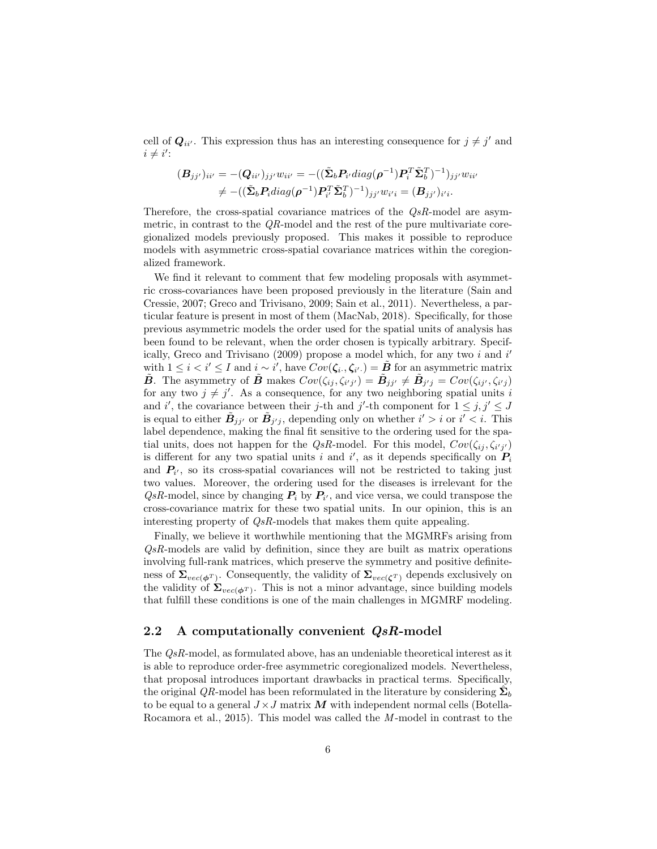cell of  $Q_{ii'}$ . This expression thus has an interesting consequence for  $j \neq j'$  and  $i \neq i'$ :

$$
(B_{jj'})_{ii'} = -(Q_{ii'})_{jj'} w_{ii'} = -((\tilde{\Sigma}_b P_{i'} diag(\rho^{-1}) P_i^T \tilde{\Sigma}_b^T)^{-1})_{jj'} w_{ii'}
$$
  

$$
\neq -((\tilde{\Sigma}_b P_i diag(\rho^{-1}) P_i^T \tilde{\Sigma}_b^T)^{-1})_{jj'} w_{i'i} = (B_{jj'})_{i'i}.
$$

Therefore, the cross-spatial covariance matrices of the  $QsR$ -model are asymmetric, in contrast to the  $QR$ -model and the rest of the pure multivariate coregionalized models previously proposed. This makes it possible to reproduce models with asymmetric cross-spatial covariance matrices within the coregionalized framework.

We find it relevant to comment that few modeling proposals with asymmetric cross-covariances have been proposed previously in the literature (Sain and Cressie, 2007; Greco and Trivisano, 2009; Sain et al., 2011). Nevertheless, a particular feature is present in most of them (MacNab, 2018). Specifically, for those previous asymmetric models the order used for the spatial units of analysis has been found to be relevant, when the order chosen is typically arbitrary. Specifically, Greco and Trivisano (2009) propose a model which, for any two  $i$  and  $i'$ with  $1 \leq i < i' \leq I$  and  $i \sim i'$ , have  $Cov(\zeta_{i\cdot}, \zeta_{i'} ) = \tilde{B}$  for an asymmetric matrix  $\tilde{B}$ . The asymmetry of  $\tilde{B}$  makes  $Cov(\zeta_{ij}, \zeta_{i'j'}) = \tilde{B}_{jj'} \neq \tilde{B}_{j'j} = Cov(\zeta_{ij'}, \zeta_{i'j})$ for any two  $j \neq j'$ . As a consequence, for any two neighboring spatial units i and i', the covariance between their j-th and j'-th component for  $1 \leq j, j' \leq J$ is equal to either  $\tilde{B}_{j'j'}$  or  $\tilde{B}_{j'j}$ , depending only on whether  $i' > i$  or  $i' < i$ . This label dependence, making the final fit sensitive to the ordering used for the spatial units, does not happen for the  $QsR$ -model. For this model,  $Cov(\zeta_{ij}, \zeta_{i'j'})$ is different for any two spatial units i and i', as it depends specifically on  $P_i$ and  $P_{i'}$ , so its cross-spatial covariances will not be restricted to taking just two values. Moreover, the ordering used for the diseases is irrelevant for the  $QsR$ -model, since by changing  $P_i$  by  $P_{i'}$ , and vice versa, we could transpose the cross-covariance matrix for these two spatial units. In our opinion, this is an interesting property of QsR-models that makes them quite appealing.

Finally, we believe it worthwhile mentioning that the MGMRFs arising from  $QsR$ -models are valid by definition, since they are built as matrix operations involving full-rank matrices, which preserve the symmetry and positive definiteness of  $\Sigma_{vec(\phi^T)}$ . Consequently, the validity of  $\Sigma_{vec(\zeta^T)}$  depends exclusively on the validity of  $\Sigma_{vec(\phi^T)}$ . This is not a minor advantage, since building models that fulfill these conditions is one of the main challenges in MGMRF modeling.

#### 2.2 A computationally convenient  $QsR$ -model

The QsR-model, as formulated above, has an undeniable theoretical interest as it is able to reproduce order-free asymmetric coregionalized models. Nevertheless, that proposal introduces important drawbacks in practical terms. Specifically, the original QR-model has been reformulated in the literature by considering  $\hat{\Sigma}_b$ to be equal to a general  $J \times J$  matrix M with independent normal cells (Botella-Rocamora et al., 2015). This model was called the  $M$ -model in contrast to the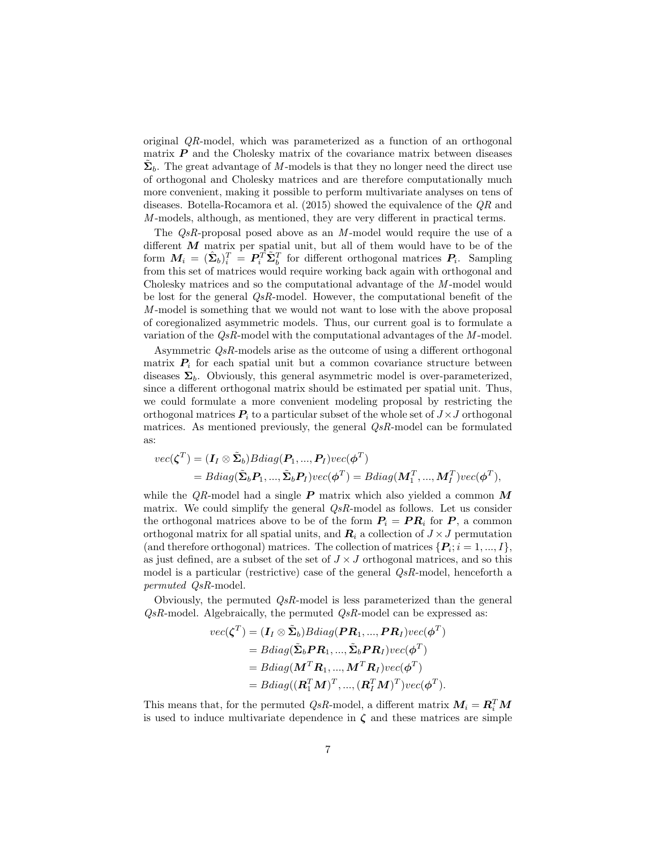original QR-model, which was parameterized as a function of an orthogonal matrix  $P$  and the Cholesky matrix of the covariance matrix between diseases  $\tilde{\Sigma}_b$ . The great advantage of M-models is that they no longer need the direct use of orthogonal and Cholesky matrices and are therefore computationally much more convenient, making it possible to perform multivariate analyses on tens of diseases. Botella-Rocamora et al. (2015) showed the equivalence of the QR and M-models, although, as mentioned, they are very different in practical terms.

The  $QsR$ -proposal posed above as an  $M$ -model would require the use of a different  $M$  matrix per spatial unit, but all of them would have to be of the form  $M_i = (\hat{\Sigma}_b)_i^T = P_i^T \tilde{\Sigma}_b^T$  for different orthogonal matrices  $P_i$ . Sampling from this set of matrices would require working back again with orthogonal and Cholesky matrices and so the computational advantage of the M-model would be lost for the general  $QsR$ -model. However, the computational benefit of the M -model is something that we would not want to lose with the above proposal of coregionalized asymmetric models. Thus, our current goal is to formulate a variation of the  $QsR$ -model with the computational advantages of the  $M$ -model.

Asymmetric QsR-models arise as the outcome of using a different orthogonal matrix  $P_i$  for each spatial unit but a common covariance structure between diseases  $\Sigma_b$ . Obviously, this general asymmetric model is over-parameterized, since a different orthogonal matrix should be estimated per spatial unit. Thus, we could formulate a more convenient modeling proposal by restricting the orthogonal matrices  $P_i$  to a particular subset of the whole set of  $J \times J$  orthogonal matrices. As mentioned previously, the general QsR-model can be formulated as:

$$
vec(\boldsymbol{\zeta}^T) = (\boldsymbol{I}_I \otimes \tilde{\boldsymbol{\Sigma}}_b) Bdiag(\boldsymbol{P}_1, ..., \boldsymbol{P}_I) vec(\boldsymbol{\phi}^T)
$$
  
=  $Bdiag(\tilde{\boldsymbol{\Sigma}}_b \boldsymbol{P}_1, ..., \tilde{\boldsymbol{\Sigma}}_b \boldsymbol{P}_I) vec(\boldsymbol{\phi}^T) = Bdiag(\boldsymbol{M}_1^T, ..., \boldsymbol{M}_I^T) vec(\boldsymbol{\phi}^T),$ 

while the  $QR$ -model had a single  $P$  matrix which also yielded a common  $M$ matrix. We could simplify the general  $Q_sR$ -model as follows. Let us consider the orthogonal matrices above to be of the form  $P_i = PR_i$  for P, a common orthogonal matrix for all spatial units, and  $\mathbf{R}_i$  a collection of  $J \times J$  permutation (and therefore orthogonal) matrices. The collection of matrices  $\{P_i; i = 1, ..., I\}$ , as just defined, are a subset of the set of  $J \times J$  orthogonal matrices, and so this model is a particular (restrictive) case of the general QsR-model, henceforth a permuted QsR-model.

Obviously, the permuted  $QsR$ -model is less parameterized than the general  $QsR$ -model. Algebraically, the permuted  $QsR$ -model can be expressed as:

$$
vec(\boldsymbol{\zeta}^T) = (\boldsymbol{I}_I \otimes \tilde{\boldsymbol{\Sigma}}_b)Bdiag(\boldsymbol{P}\boldsymbol{R}_1, ..., \boldsymbol{P}\boldsymbol{R}_I)vec(\boldsymbol{\phi}^T) = Bdiag(\tilde{\boldsymbol{\Sigma}}_b \boldsymbol{P}\boldsymbol{R}_1, ..., \tilde{\boldsymbol{\Sigma}}_b \boldsymbol{P}\boldsymbol{R}_I)vec(\boldsymbol{\phi}^T) = Bdiag(\boldsymbol{M}^T \boldsymbol{R}_1, ..., \boldsymbol{M}^T \boldsymbol{R}_I)vec(\boldsymbol{\phi}^T) = Bdiag((\boldsymbol{R}_1^T \boldsymbol{M})^T, ..., (\boldsymbol{R}_I^T \boldsymbol{M})^T)vec(\boldsymbol{\phi}^T).
$$

This means that, for the permuted  $QsR$ -model, a different matrix  $M_i = R_i^T M$ is used to induce multivariate dependence in  $\zeta$  and these matrices are simple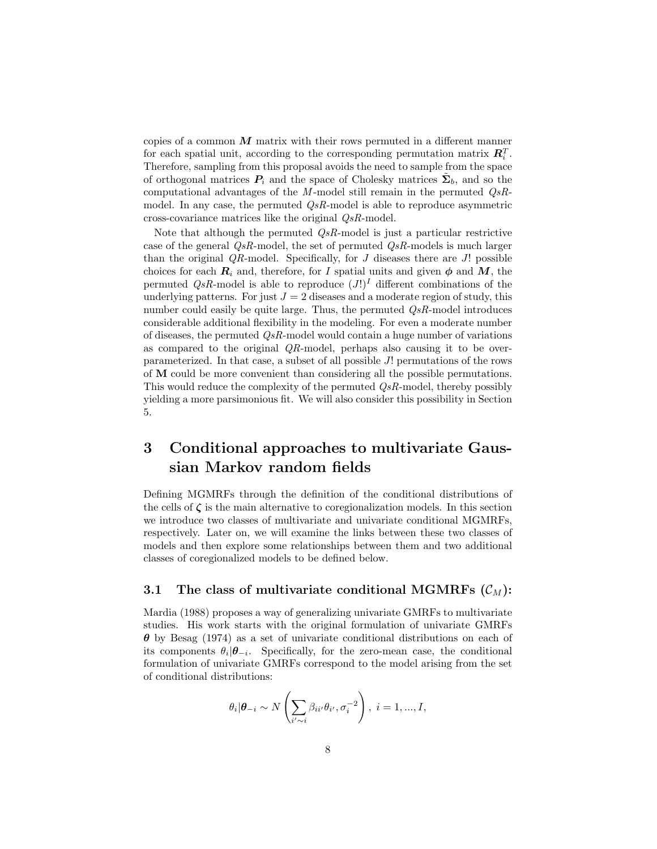copies of a common  $M$  matrix with their rows permuted in a different manner for each spatial unit, according to the corresponding permutation matrix  $\mathbf{R}_i^T$ . Therefore, sampling from this proposal avoids the need to sample from the space of orthogonal matrices  $P_i$  and the space of Cholesky matrices  $\tilde{\Sigma}_b$ , and so the computational advantages of the M-model still remain in the permuted  $QsR$ model. In any case, the permuted QsR-model is able to reproduce asymmetric cross-covariance matrices like the original QsR-model.

Note that although the permuted  $QsR$ -model is just a particular restrictive case of the general  $QsR$ -model, the set of permuted  $QsR$ -models is much larger than the original  $QR$ -model. Specifically, for  $J$  diseases there are  $J!$  possible choices for each  $R_i$  and, therefore, for I spatial units and given  $\phi$  and M, the permuted  $QsR$ -model is able to reproduce  $(J!)^I$  different combinations of the underlying patterns. For just  $J = 2$  diseases and a moderate region of study, this number could easily be quite large. Thus, the permuted  $QsR$ -model introduces considerable additional flexibility in the modeling. For even a moderate number of diseases, the permuted  $Q_sR$ -model would contain a huge number of variations as compared to the original  $QR$ -model, perhaps also causing it to be overparameterized. In that case, a subset of all possible J! permutations of the rows of M could be more convenient than considering all the possible permutations. This would reduce the complexity of the permuted  $Q_sR$ -model, thereby possibly yielding a more parsimonious fit. We will also consider this possibility in Section 5.

## 3 Conditional approaches to multivariate Gaussian Markov random fields

Defining MGMRFs through the definition of the conditional distributions of the cells of  $\zeta$  is the main alternative to coregionalization models. In this section we introduce two classes of multivariate and univariate conditional MGMRFs, respectively. Later on, we will examine the links between these two classes of models and then explore some relationships between them and two additional classes of coregionalized models to be defined below.

#### 3.1 The class of multivariate conditional MGMRFs  $(\mathcal{C}_M)$ :

Mardia (1988) proposes a way of generalizing univariate GMRFs to multivariate studies. His work starts with the original formulation of univariate GMRFs  $\theta$  by Besag (1974) as a set of univariate conditional distributions on each of its components  $\theta_i | \theta_{-i}$ . Specifically, for the zero-mean case, the conditional formulation of univariate GMRFs correspond to the model arising from the set of conditional distributions:

$$
\theta_i | \boldsymbol{\theta}_{-i} \sim N\left(\sum_{i' \sim i} \beta_{ii'} \theta_{i'}, \sigma_i^{-2}\right), \ i = 1, ..., I,
$$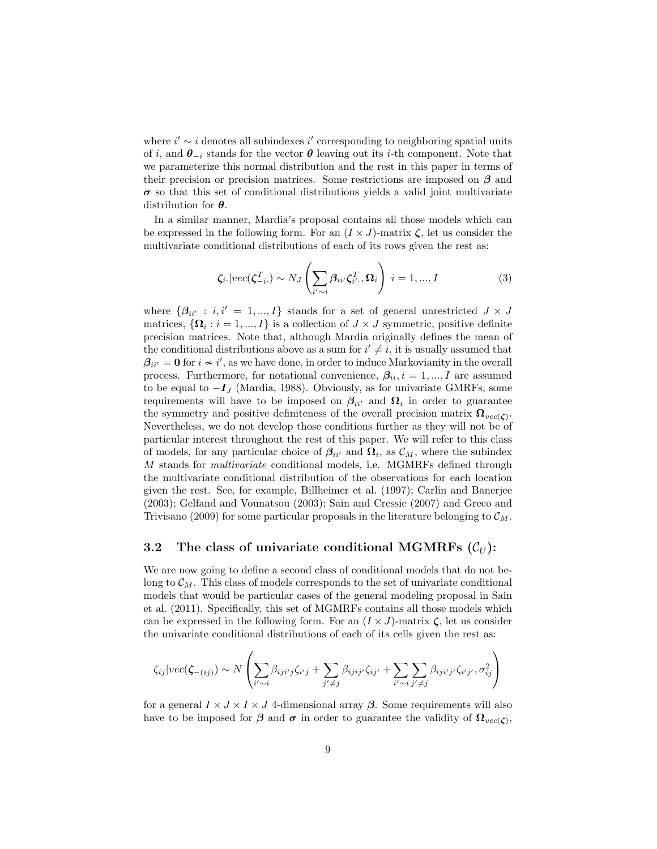where  $i' \sim i$  denotes all subindexes  $i'$  corresponding to neighboring spatial units of i, and  $\theta_{-i}$  stands for the vector  $\theta$  leaving out its i-th component. Note that we parameterize this normal distribution and the rest in this paper in terms of their precision or precision matrices. Some restrictions are imposed on  $\beta$  and  $\sigma$  so that this set of conditional distributions yields a valid joint multivariate distribution for  $\theta$ .

In a similar manner, Mardia's proposal contains all those models which can be expressed in the following form. For an  $(I \times J)$ -matrix  $\zeta$ , let us consider the multivariate conditional distributions of each of its rows given the rest as:

$$
\zeta_{i.} | vec(\zeta_{-i.}^{T}) \sim N_J \left( \sum_{i' \sim i} \beta_{ii'} \zeta_{i'}^{T}, \Omega_i \right) i = 1, ..., I
$$
 (3)

where  $\{\beta_{ii'} : i, i' = 1, ..., I\}$  stands for a set of general unrestricted  $J \times J$ matrices,  $\{\mathbf\Omega_i : i = 1, ..., I\}$  is a collection of  $J \times J$  symmetric, positive definite precision matrices. Note that, although Mardia originally defines the mean of the conditional distributions above as a sum for  $i' \neq i$ , it is usually assumed that  $\beta_{ii'} = 0$  for  $i \nsim i'$ , as we have done, in order to induce Markovianity in the overall process. Furthermore, for notational convenience,  $\beta_{ii}, i = 1, ..., I$  are assumed to be equal to  $-I_J$  (Mardia, 1988). Obviously, as for univariate GMRFs, some requirements will have to be imposed on  $\beta_{ii'}$  and  $\Omega_i$  in order to guarantee the symmetry and positive definiteness of the overall precision matrix  $\Omega_{vec(\zeta)}$ . Nevertheless, we do not develop those conditions further as they will not be of particular interest throughout the rest of this paper. We will refer to this class of models, for any particular choice of  $\beta_{ii'}$  and  $\Omega_i$ , as  $\mathcal{C}_M$ , where the subindex M stands for multivariate conditional models, i.e. MGMRFs defined through the multivariate conditional distribution of the observations for each location given the rest. See, for example, Billheimer et al. (1997); Carlin and Banerjee (2003); Gelfand and Vounatsou (2003); Sain and Cressie (2007) and Greco and Trivisano (2009) for some particular proposals in the literature belonging to  $\mathcal{C}_M$ .

### 3.2 The class of univariate conditional MGMRFs  $(\mathcal{C}_U)$ :

We are now going to define a second class of conditional models that do not belong to  $\mathcal{C}_M$ . This class of models corresponds to the set of univariate conditional models that would be particular cases of the general modeling proposal in Sain et al. (2011). Specifically, this set of MGMRFs contains all those models which can be expressed in the following form. For an  $(I \times J)$ -matrix  $\zeta$ , let us consider the univariate conditional distributions of each of its cells given the rest as:

$$
\zeta_{ij}|vec(\zeta_{-(ij)}) \sim N\left(\sum_{i' \sim i} \beta_{iji'j}\zeta_{i'j} + \sum_{j' \neq j} \beta_{ijij'}\zeta_{ij'} + \sum_{i' \sim i} \sum_{j' \neq j} \beta_{iji'j'}\zeta_{i'j'}, \sigma_{ij}^2\right)
$$

for a general  $I \times J \times I \times J$  4-dimensional array  $\beta$ . Some requirements will also have to be imposed for  $\beta$  and  $\sigma$  in order to guarantee the validity of  $\Omega_{vec(\zeta)}$ ,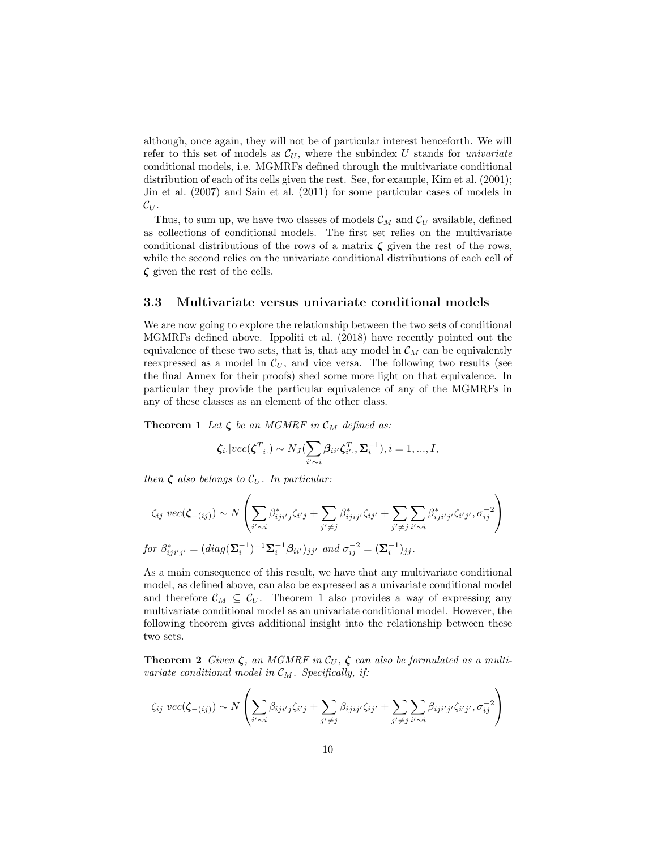although, once again, they will not be of particular interest henceforth. We will refer to this set of models as  $\mathcal{C}_U$ , where the subindex U stands for *univariate* conditional models, i.e. MGMRFs defined through the multivariate conditional distribution of each of its cells given the rest. See, for example, Kim et al. (2001); Jin et al. (2007) and Sain et al. (2011) for some particular cases of models in  $\mathcal{C}_U$ .

Thus, to sum up, we have two classes of models  $\mathcal{C}_M$  and  $\mathcal{C}_U$  available, defined as collections of conditional models. The first set relies on the multivariate conditional distributions of the rows of a matrix  $\zeta$  given the rest of the rows, while the second relies on the univariate conditional distributions of each cell of  $\zeta$  given the rest of the cells.

#### 3.3 Multivariate versus univariate conditional models

We are now going to explore the relationship between the two sets of conditional MGMRFs defined above. Ippoliti et al. (2018) have recently pointed out the equivalence of these two sets, that is, that any model in  $\mathcal{C}_M$  can be equivalently reexpressed as a model in  $\mathcal{C}_U$ , and vice versa. The following two results (see the final Annex for their proofs) shed some more light on that equivalence. In particular they provide the particular equivalence of any of the MGMRFs in any of these classes as an element of the other class.

**Theorem 1** Let  $\zeta$  be an MGMRF in  $\mathcal{C}_M$  defined as:

$$
\zeta_{i\cdot} |vec(\zeta_{-i\cdot}^T) \sim N_J(\sum_{i'\sim i} \beta_{ii'} \zeta_{i'\cdot}^T, \Sigma_i^{-1}), i=1,...,I,
$$

then  $\zeta$  also belongs to  $\mathcal{C}_U$ . In particular:

$$
\zeta_{ij}|vec(\zeta_{-(ij)}) \sim N\left(\sum_{i' \sim i} \beta_{iji'j}^* \zeta_{i'j} + \sum_{j' \neq j} \beta_{ijij'}^* \zeta_{ij'} + \sum_{j' \neq j} \sum_{i' \sim i} \beta_{iji'j'}^* \zeta_{i'j'}, \sigma_{ij}^{-2}\right)
$$
  
for  $\beta_{iji'j'}^* = (diag(\Sigma_i^{-1})^{-1}\Sigma_i^{-1}\beta_{ii'})_{jj'}$  and  $\sigma_{ij}^{-2} = (\Sigma_i^{-1})_{jj}$ .

As a main consequence of this result, we have that any multivariate conditional model, as defined above, can also be expressed as a univariate conditional model and therefore  $\mathcal{C}_M \subseteq \mathcal{C}_U$ . Theorem 1 also provides a way of expressing any multivariate conditional model as an univariate conditional model. However, the following theorem gives additional insight into the relationship between these two sets.

**Theorem 2** Given  $\zeta$ , an MGMRF in  $\mathcal{C}_U$ ,  $\zeta$  can also be formulated as a multivariate conditional model in  $\mathcal{C}_M$ . Specifically, if:

$$
\zeta_{ij}|vec(\zeta_{-(ij)}) \sim N\left(\sum_{i' \sim i} \beta_{iji'j}\zeta_{i'j} + \sum_{j' \neq j} \beta_{ijij'}\zeta_{ij'} + \sum_{j' \neq j} \sum_{i' \sim i} \beta_{iji'j'}\zeta_{i'j'}, \sigma_{ij}^{-2}\right)
$$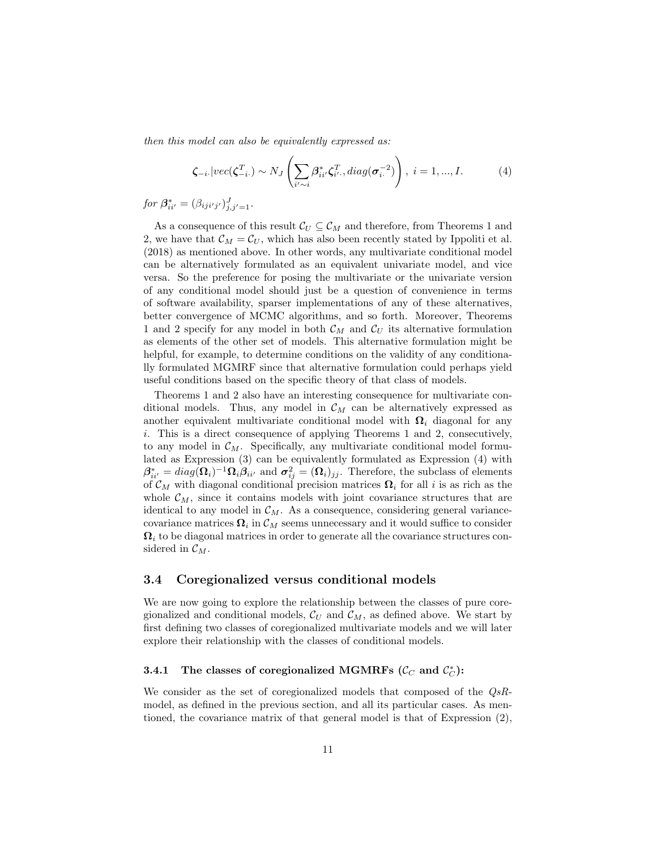then this model can also be equivalently expressed as:

$$
\zeta_{-i} \mid vec(\boldsymbol{\zeta}_{-i}^{T}) \sim N_J \left( \sum_{i' \sim i} \beta_{ii'}^{*} \zeta_{i'}^{T}, diag(\boldsymbol{\sigma}_{i}^{-2}) \right), \ i = 1, ..., I. \tag{4}
$$

for  $\beta^*_{ii'} = (\beta_{iji'j'})^J_{j,j'=1}.$ 

As a consequence of this result  $\mathcal{C}_U \subseteq \mathcal{C}_M$  and therefore, from Theorems 1 and 2, we have that  $\mathcal{C}_M = \mathcal{C}_U$ , which has also been recently stated by Ippoliti et al. (2018) as mentioned above. In other words, any multivariate conditional model can be alternatively formulated as an equivalent univariate model, and vice versa. So the preference for posing the multivariate or the univariate version of any conditional model should just be a question of convenience in terms of software availability, sparser implementations of any of these alternatives, better convergence of MCMC algorithms, and so forth. Moreover, Theorems 1 and 2 specify for any model in both  $\mathcal{C}_M$  and  $\mathcal{C}_U$  its alternative formulation as elements of the other set of models. This alternative formulation might be helpful, for example, to determine conditions on the validity of any conditionally formulated MGMRF since that alternative formulation could perhaps yield useful conditions based on the specific theory of that class of models.

Theorems 1 and 2 also have an interesting consequence for multivariate conditional models. Thus, any model in  $\mathcal{C}_M$  can be alternatively expressed as another equivalent multivariate conditional model with  $\Omega_i$  diagonal for any i. This is a direct consequence of applying Theorems 1 and 2, consecutively, to any model in  $\mathcal{C}_M$ . Specifically, any multivariate conditional model formulated as Expression (3) can be equivalently formulated as Expression (4) with  $\beta_{ii'}^* = diag(\mathbf{\Omega}_i)^{-1} \mathbf{\Omega}_i \beta_{ii'}$  and  $\sigma_{ij}^2 = (\mathbf{\Omega}_i)_{jj}$ . Therefore, the subclass of elements of  $\mathcal{C}_M$  with diagonal conditional precision matrices  $\Omega_i$  for all i is as rich as the whole  $\mathcal{C}_M$ , since it contains models with joint covariance structures that are identical to any model in  $\mathcal{C}_M$ . As a consequence, considering general variancecovariance matrices  $\mathbf{\Omega}_i$  in  $\mathcal{C}_M$  seems unnecessary and it would suffice to consider  $\Omega_i$  to be diagonal matrices in order to generate all the covariance structures considered in  $\mathcal{C}_M$ .

#### 3.4 Coregionalized versus conditional models

We are now going to explore the relationship between the classes of pure coregionalized and conditional models,  $\mathcal{C}_U$  and  $\mathcal{C}_M$ , as defined above. We start by first defining two classes of coregionalized multivariate models and we will later explore their relationship with the classes of conditional models.

### 3.4.1 The classes of coregionalized MGMRFs ( $\mathcal{C}_C$  and  $\mathcal{C}_C^*$ ):

We consider as the set of coregionalized models that composed of the QsRmodel, as defined in the previous section, and all its particular cases. As mentioned, the covariance matrix of that general model is that of Expression (2),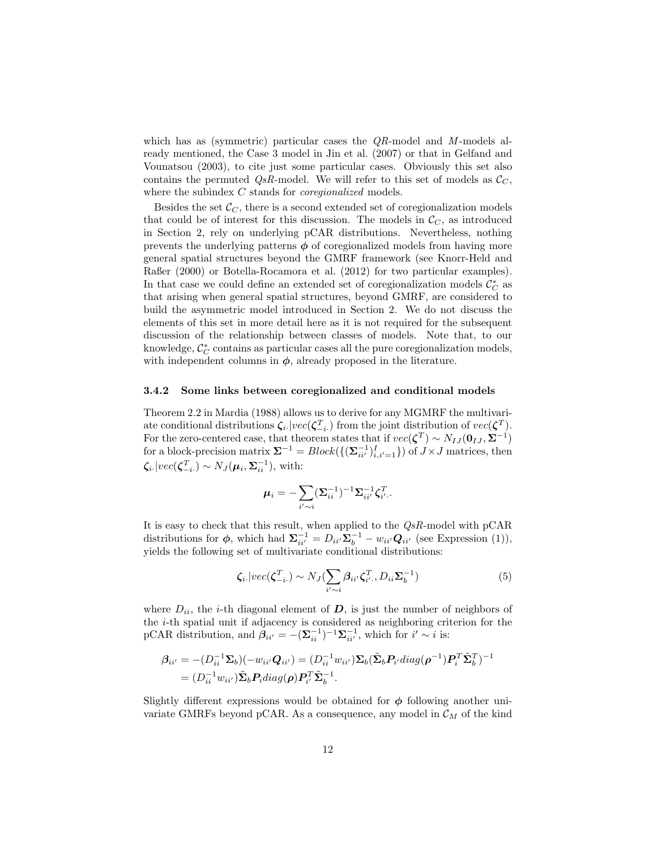which has as (symmetric) particular cases the  $QR$ -model and M-models already mentioned, the Case 3 model in Jin et al. (2007) or that in Gelfand and Vounatsou (2003), to cite just some particular cases. Obviously this set also contains the permuted  $QsR$ -model. We will refer to this set of models as  $\mathcal{C}_C$ , where the subindex C stands for *coregionalized* models.

Besides the set  $\mathcal{C}_C$ , there is a second extended set of coregionalization models that could be of interest for this discussion. The models in  $\mathcal{C}_C$ , as introduced in Section 2, rely on underlying pCAR distributions. Nevertheless, nothing prevents the underlying patterns  $\phi$  of coregionalized models from having more general spatial structures beyond the GMRF framework (see Knorr-Held and Raßer (2000) or Botella-Rocamora et al. (2012) for two particular examples). In that case we could define an extended set of coregionalization models  $\mathcal{C}_{C}^*$  as that arising when general spatial structures, beyond GMRF, are considered to build the asymmetric model introduced in Section 2. We do not discuss the elements of this set in more detail here as it is not required for the subsequent discussion of the relationship between classes of models. Note that, to our knowledge,  $\mathcal{C}_{C}^*$  contains as particular cases all the pure coregionalization models, with independent columns in  $\phi$ , already proposed in the literature.

#### 3.4.2 Some links between coregionalized and conditional models

Theorem 2.2 in Mardia (1988) allows us to derive for any MGMRF the multivariate conditional distributions  $\zeta_i$  |vec( $\zeta_{-i}^T$ ) from the joint distribution of  $vec(\zeta^T)$ . For the zero-centered case, that theorem states that if  $vec(\zeta^T) \sim N_{IJ}(\mathbf{0}_{IJ}, \mathbf{\Sigma}^{-1})$ for a block-precision matrix  $\Sigma^{-1} = Block(\{(\Sigma_{ii'}^{-1})_{i,i'=1}^I\})$  of  $J \times J$  matrices, then  $\zeta_i$ :  $|vec(\zeta_{-i}^T) \sim N_J(\mu_i, \Sigma_{ii}^{-1}),$  with:

$$
\boldsymbol{\mu}_i = -\sum_{i'\sim i} (\boldsymbol{\Sigma}_{ii}^{-1})^{-1}\boldsymbol{\Sigma}_{ii'}^{-1}\boldsymbol{\zeta}_{i'}^T.
$$

It is easy to check that this result, when applied to the  $QsR$ -model with  $pCAR$ distributions for  $\phi$ , which had  $\Sigma_{ii'}^{-1} = D_{ii'} \Sigma_b^{-1} - w_{ii'} Q_{ii'}$  (see Expression (1)), yields the following set of multivariate conditional distributions:

$$
\zeta_i | vec(\zeta_{-i}^T) \sim N_J(\sum_{i' \sim i} \beta_{ii'} \zeta_{i'}^T, D_{ii} \Sigma_b^{-1})
$$
\n(5)

where  $D_{ii}$ , the *i*-th diagonal element of  $D$ , is just the number of neighbors of the i-th spatial unit if adjacency is considered as neighboring criterion for the pCAR distribution, and  $\beta_{ii'} = -(\Sigma_{ii}^{-1})^{-1}\Sigma_{ii'}^{-1}$ , which for  $i' \sim i$  is:

$$
\begin{aligned} \beta_{ii'} &= -(D_{ii}^{-1} \Sigma_b)(-w_{ii'} Q_{ii'}) = (D_{ii}^{-1} w_{ii'}) \Sigma_b(\tilde{\Sigma}_b P_{i'} diag(\rho^{-1}) P_i^T \tilde{\Sigma}_b^T)^{-1} \\ &= (D_{ii}^{-1} w_{ii'}) \tilde{\Sigma}_b P_i diag(\rho) P_{i'}^T \tilde{\Sigma}_b^{-1} .\end{aligned}
$$

Slightly different expressions would be obtained for  $\phi$  following another univariate GMRFs beyond pCAR. As a consequence, any model in  $\mathcal{C}_M$  of the kind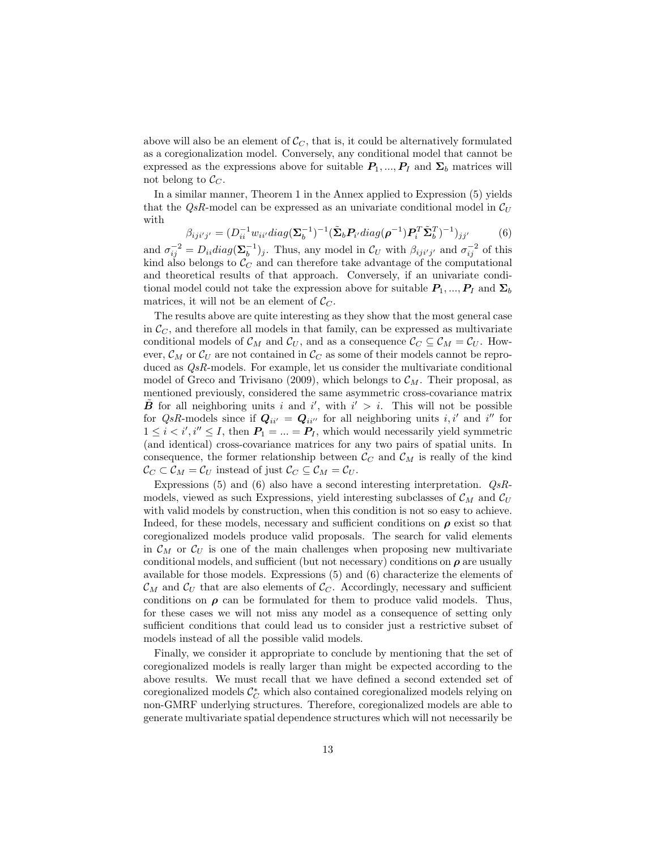above will also be an element of  $\mathcal{C}_C$ , that is, it could be alternatively formulated as a coregionalization model. Conversely, any conditional model that cannot be expressed as the expressions above for suitable  $P_1, ..., P_I$  and  $\Sigma_b$  matrices will not belong to  $\mathcal{C}_C$ .

In a similar manner, Theorem 1 in the Annex applied to Expression (5) yields that the QsR-model can be expressed as an univariate conditional model in  $\mathcal{C}_U$ with

$$
\beta_{ijij'j'} = (D_{ii}^{-1} w_{ii'} diag(\boldsymbol{\Sigma}_b^{-1})^{-1} (\tilde{\boldsymbol{\Sigma}}_b \boldsymbol{P}_{i'} diag(\boldsymbol{\rho}^{-1}) \boldsymbol{P}_{i}^T \tilde{\boldsymbol{\Sigma}}_b^T)^{-1})_{jj'}
$$
(6)

and  $\sigma_{ij}^{-2} = D_{ii} diag(\Sigma_b^{-1})_j$ . Thus, any model in  $\mathcal{C}_U$  with  $\beta_{iji'j'}$  and  $\sigma_{ij}^{-2}$  of this kind also belongs to  $\mathcal{C}_C$  and can therefore take advantage of the computational and theoretical results of that approach. Conversely, if an univariate conditional model could not take the expression above for suitable  $P_1, ..., P_I$  and  $\Sigma_b$ matrices, it will not be an element of  $\mathcal{C}_C$ .

The results above are quite interesting as they show that the most general case in  $\mathcal{C}_{C}$ , and therefore all models in that family, can be expressed as multivariate conditional models of  $\mathcal{C}_M$  and  $\mathcal{C}_U$ , and as a consequence  $\mathcal{C}_C \subseteq \mathcal{C}_M = \mathcal{C}_U$ . However,  $\mathcal{C}_M$  or  $\mathcal{C}_U$  are not contained in  $\mathcal{C}_C$  as some of their models cannot be reproduced as  $QsR$ -models. For example, let us consider the multivariate conditional model of Greco and Trivisano (2009), which belongs to  $\mathcal{C}_M$ . Their proposal, as mentioned previously, considered the same asymmetric cross-covariance matrix  $\tilde{B}$  for all neighboring units i and i', with  $i' > i$ . This will not be possible for QsR-models since if  $Q_{ii'} = Q_{ii''}$  for all neighboring units i, i' and i'' for  $1 \leq i \leq i', i'' \leq I$ , then  $P_1 = ... = P_I$ , which would necessarily yield symmetric (and identical) cross-covariance matrices for any two pairs of spatial units. In consequence, the former relationship between  $\mathcal{C}_C$  and  $\mathcal{C}_M$  is really of the kind  $\mathcal{C}_C \subset \mathcal{C}_M = \mathcal{C}_U$  instead of just  $\mathcal{C}_C \subseteq \mathcal{C}_M = \mathcal{C}_U$ .

Expressions (5) and (6) also have a second interesting interpretation.  $QsR$ models, viewed as such Expressions, yield interesting subclasses of  $\mathcal{C}_M$  and  $\mathcal{C}_U$ with valid models by construction, when this condition is not so easy to achieve. Indeed, for these models, necessary and sufficient conditions on  $\rho$  exist so that coregionalized models produce valid proposals. The search for valid elements in  $\mathcal{C}_M$  or  $\mathcal{C}_U$  is one of the main challenges when proposing new multivariate conditional models, and sufficient (but not necessary) conditions on  $\rho$  are usually available for those models. Expressions (5) and (6) characterize the elements of  $\mathcal{C}_M$  and  $\mathcal{C}_U$  that are also elements of  $\mathcal{C}_C$ . Accordingly, necessary and sufficient conditions on  $\rho$  can be formulated for them to produce valid models. Thus, for these cases we will not miss any model as a consequence of setting only sufficient conditions that could lead us to consider just a restrictive subset of models instead of all the possible valid models.

Finally, we consider it appropriate to conclude by mentioning that the set of coregionalized models is really larger than might be expected according to the above results. We must recall that we have defined a second extended set of coregionalized models  $\mathcal{C}_{C}^*$  which also contained coregionalized models relying on non-GMRF underlying structures. Therefore, coregionalized models are able to generate multivariate spatial dependence structures which will not necessarily be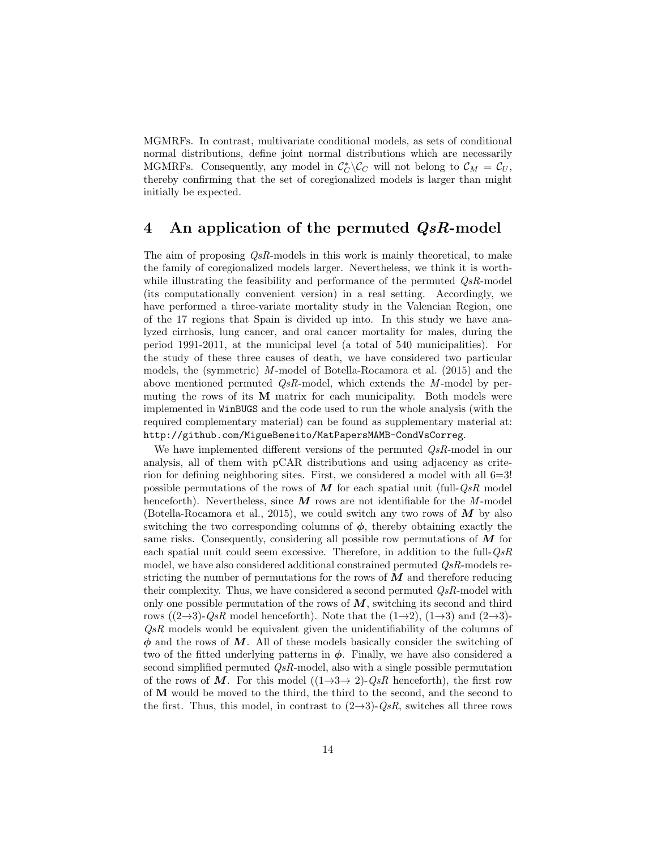MGMRFs. In contrast, multivariate conditional models, as sets of conditional normal distributions, define joint normal distributions which are necessarily MGMRFs. Consequently, any model in  $\mathcal{C}_{\mathcal{C}}^* \backslash \mathcal{C}_{\mathcal{C}}$  will not belong to  $\mathcal{C}_M = \mathcal{C}_U$ , thereby confirming that the set of coregionalized models is larger than might initially be expected.

### 4 An application of the permuted  $QsR$ -model

The aim of proposing  $QsR$ -models in this work is mainly theoretical, to make the family of coregionalized models larger. Nevertheless, we think it is worthwhile illustrating the feasibility and performance of the permuted  $QsR$ -model (its computationally convenient version) in a real setting. Accordingly, we have performed a three-variate mortality study in the Valencian Region, one of the 17 regions that Spain is divided up into. In this study we have analyzed cirrhosis, lung cancer, and oral cancer mortality for males, during the period 1991-2011, at the municipal level (a total of 540 municipalities). For the study of these three causes of death, we have considered two particular models, the (symmetric) M -model of Botella-Rocamora et al. (2015) and the above mentioned permuted  $QsR$ -model, which extends the M-model by permuting the rows of its  $M$  matrix for each municipality. Both models were implemented in WinBUGS and the code used to run the whole analysis (with the required complementary material) can be found as supplementary material at: http://github.com/MigueBeneito/MatPapersMAMB-CondVsCorreg.

We have implemented different versions of the permuted  $\mathcal{Q} sR$ -model in our analysis, all of them with pCAR distributions and using adjacency as criterion for defining neighboring sites. First, we considered a model with all 6=3! possible permutations of the rows of  $M$  for each spatial unit (full- $QsR$  model henceforth). Nevertheless, since  $\boldsymbol{M}$  rows are not identifiable for the M-model (Botella-Rocamora et al., 2015), we could switch any two rows of  $M$  by also switching the two corresponding columns of  $\phi$ , thereby obtaining exactly the same risks. Consequently, considering all possible row permutations of  $\overline{M}$  for each spatial unit could seem excessive. Therefore, in addition to the full- $QsR$ model, we have also considered additional constrained permuted  $QsR$ -models restricting the number of permutations for the rows of  $M$  and therefore reducing their complexity. Thus, we have considered a second permuted  $Q_sR$ -model with only one possible permutation of the rows of  $M$ , switching its second and third rows  $((2\rightarrow 3)\cdot QsR$  model henceforth). Note that the  $(1\rightarrow 2)$ ,  $(1\rightarrow 3)$  and  $(2\rightarrow 3) QsR$  models would be equivalent given the unidentifiability of the columns of  $\phi$  and the rows of M. All of these models basically consider the switching of two of the fitted underlying patterns in  $\phi$ . Finally, we have also considered a second simplified permuted QsR-model, also with a single possible permutation of the rows of M. For this model  $((1\rightarrow 3\rightarrow 2)\cdot QsR$  henceforth), the first row of M would be moved to the third, the third to the second, and the second to the first. Thus, this model, in contrast to  $(2\rightarrow 3)$ - $Q_sR$ , switches all three rows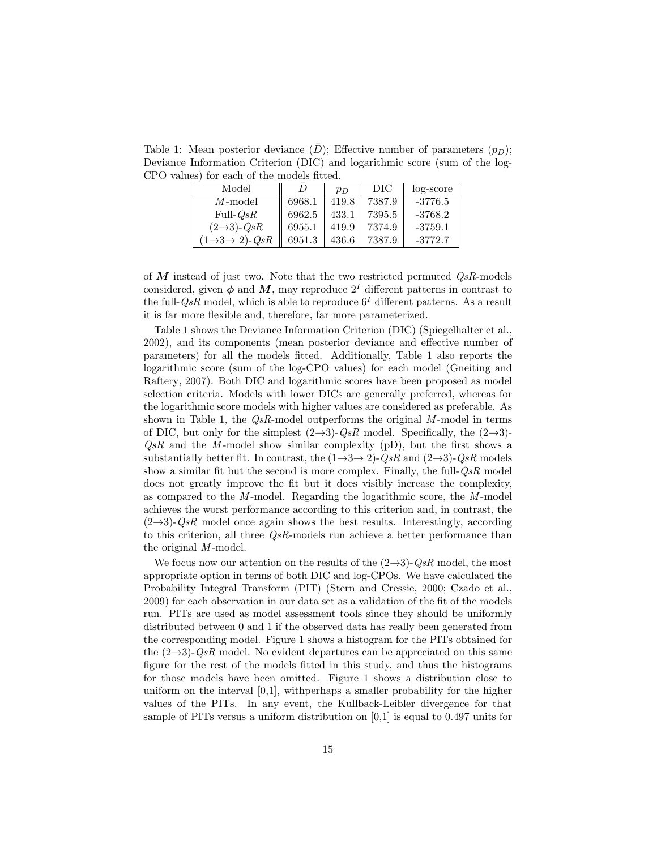Table 1: Mean posterior deviance  $(D)$ ; Effective number of parameters  $(p_D)$ ; Deviance Information Criterion (DIC) and logarithmic score (sum of the log-CPO values) for each of the models fitted.

| Model                                  |        | $p_D$ | DIC    | log-score |
|----------------------------------------|--------|-------|--------|-----------|
| $M$ -model                             | 6968.1 | 419.8 | 7387.9 | $-3776.5$ |
| Full- $QsR$                            | 6962.5 | 433.1 | 7395.5 | $-3768.2$ |
| $(2\rightarrow 3)$ - $QsR$             | 6955.1 | 419.9 | 7374.9 | $-3759.1$ |
| $(1\rightarrow 3 \rightarrow 2)$ - QsR | 6951.3 | 436.6 | 7387.9 | $-3772.7$ |

of  $M$  instead of just two. Note that the two restricted permuted  $QsR$ -models considered, given  $\phi$  and M, may reproduce  $2<sup>I</sup>$  different patterns in contrast to the full- $QsR$  model, which is able to reproduce  $6<sup>I</sup>$  different patterns. As a result it is far more flexible and, therefore, far more parameterized.

Table 1 shows the Deviance Information Criterion (DIC) (Spiegelhalter et al., 2002), and its components (mean posterior deviance and effective number of parameters) for all the models fitted. Additionally, Table 1 also reports the logarithmic score (sum of the log-CPO values) for each model (Gneiting and Raftery, 2007). Both DIC and logarithmic scores have been proposed as model selection criteria. Models with lower DICs are generally preferred, whereas for the logarithmic score models with higher values are considered as preferable. As shown in Table 1, the  $QsR$ -model outperforms the original  $M$ -model in terms of DIC, but only for the simplest  $(2\rightarrow 3)$ - $QsR$  model. Specifically, the  $(2\rightarrow 3)$ - $QsR$  and the M-model show similar complexity (pD), but the first shows a substantially better fit. In contrast, the  $(1\rightarrow 3\rightarrow 2)$ -QsR and  $(2\rightarrow 3)$ -QsR models show a similar fit but the second is more complex. Finally, the full- $QsR$  model does not greatly improve the fit but it does visibly increase the complexity, as compared to the  $M$ -model. Regarding the logarithmic score, the  $M$ -model achieves the worst performance according to this criterion and, in contrast, the  $(2\rightarrow 3)$ -QsR model once again shows the best results. Interestingly, according to this criterion, all three  $QsR$ -models run achieve a better performance than the original  $M$ -model.

We focus now our attention on the results of the  $(2\rightarrow 3)$ -QsR model, the most appropriate option in terms of both DIC and log-CPOs. We have calculated the Probability Integral Transform (PIT) (Stern and Cressie, 2000; Czado et al., 2009) for each observation in our data set as a validation of the fit of the models run. PITs are used as model assessment tools since they should be uniformly distributed between 0 and 1 if the observed data has really been generated from the corresponding model. Figure 1 shows a histogram for the PITs obtained for the  $(2\rightarrow 3)$ -QsR model. No evident departures can be appreciated on this same figure for the rest of the models fitted in this study, and thus the histograms for those models have been omitted. Figure 1 shows a distribution close to uniform on the interval [0,1], withperhaps a smaller probability for the higher values of the PITs. In any event, the Kullback-Leibler divergence for that sample of PITs versus a uniform distribution on [0,1] is equal to 0.497 units for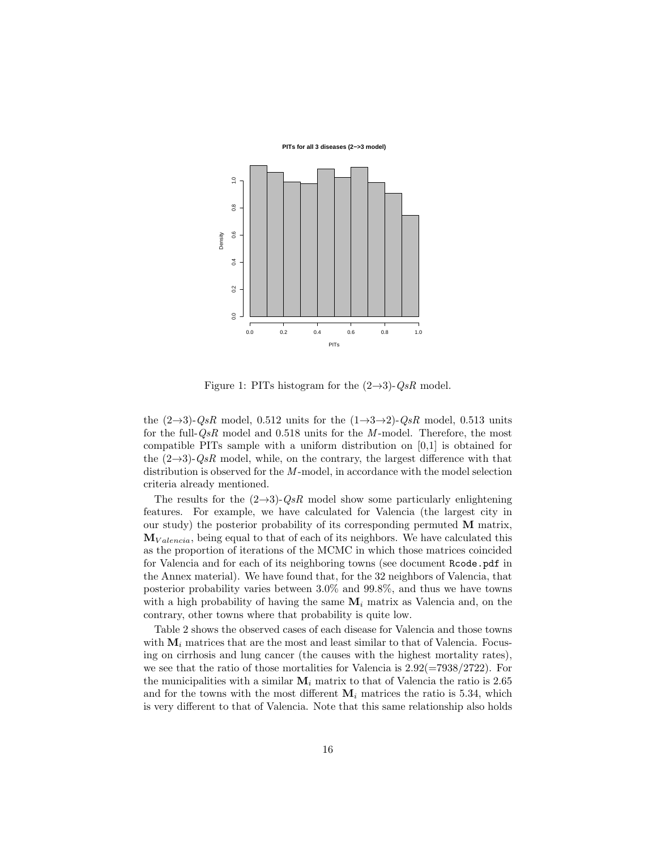**PITs for all 3 diseases (2−>3 model)**



Figure 1: PITs histogram for the  $(2\rightarrow 3)$ - $QsR$  model.

the  $(2\rightarrow 3)$ - $QsR$  model, 0.512 units for the  $(1\rightarrow 3\rightarrow 2)$ - $QsR$  model, 0.513 units for the full- $QsR$  model and 0.518 units for the M-model. Therefore, the most compatible PITs sample with a uniform distribution on  $[0,1]$  is obtained for the  $(2\rightarrow 3)$ -QsR model, while, on the contrary, the largest difference with that distribution is observed for the M-model, in accordance with the model selection criteria already mentioned.

The results for the  $(2\rightarrow 3)$ -QsR model show some particularly enlightening features. For example, we have calculated for Valencia (the largest city in our study) the posterior probability of its corresponding permuted M matrix,  $M_{Valencia}$ , being equal to that of each of its neighbors. We have calculated this as the proportion of iterations of the MCMC in which those matrices coincided for Valencia and for each of its neighboring towns (see document Rcode.pdf in the Annex material). We have found that, for the 32 neighbors of Valencia, that posterior probability varies between 3.0% and 99.8%, and thus we have towns with a high probability of having the same  $M_i$  matrix as Valencia and, on the contrary, other towns where that probability is quite low.

Table 2 shows the observed cases of each disease for Valencia and those towns with  $M_i$  matrices that are the most and least similar to that of Valencia. Focusing on cirrhosis and lung cancer (the causes with the highest mortality rates), we see that the ratio of those mortalities for Valencia is  $2.92(=7938/2722)$ . For the municipalities with a similar  $M_i$  matrix to that of Valencia the ratio is 2.65 and for the towns with the most different  $M_i$  matrices the ratio is 5.34, which is very different to that of Valencia. Note that this same relationship also holds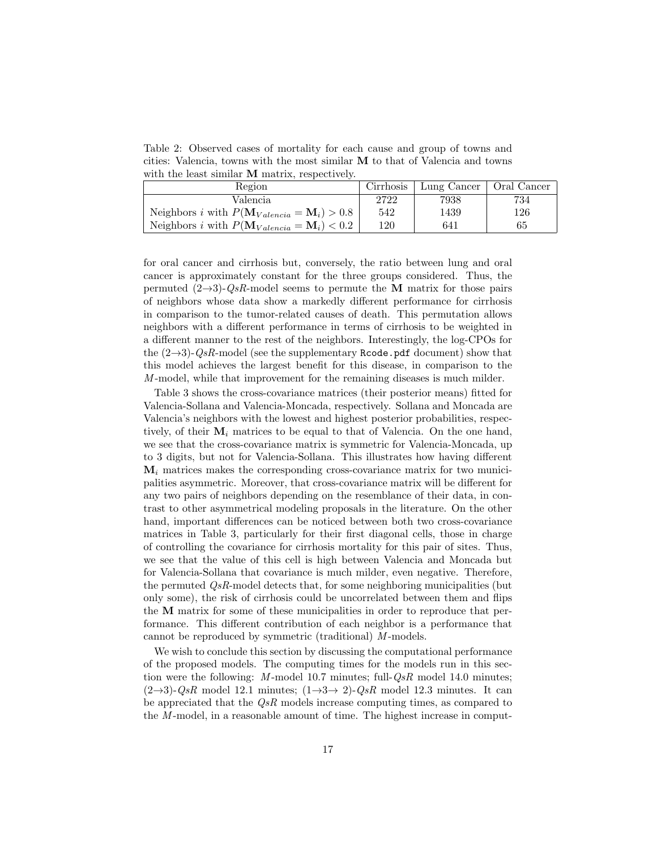Table 2: Observed cases of mortality for each cause and group of towns and cities: Valencia, towns with the most similar M to that of Valencia and towns with the least similar M matrix, respectively.

| Region                                                                  | Cirrhosis | Lung Cancer | Oral Cancer |
|-------------------------------------------------------------------------|-----------|-------------|-------------|
| Valencia                                                                | 2722      | 7938        | 734         |
| Neighbors <i>i</i> with $P(\mathbf{M}_{Valencia} = \mathbf{M}_i) > 0.8$ | 542       | 1439        | 126         |
| Neighbors <i>i</i> with $P(\mathbf{M}_{Valencia} = \mathbf{M}_i) < 0.2$ | 120       | 641         | 65          |

for oral cancer and cirrhosis but, conversely, the ratio between lung and oral cancer is approximately constant for the three groups considered. Thus, the permuted  $(2\rightarrow 3)$ -QsR-model seems to permute the M matrix for those pairs of neighbors whose data show a markedly different performance for cirrhosis in comparison to the tumor-related causes of death. This permutation allows neighbors with a different performance in terms of cirrhosis to be weighted in a different manner to the rest of the neighbors. Interestingly, the log-CPOs for the  $(2\rightarrow 3)$ -QsR-model (see the supplementary Rcode.pdf document) show that this model achieves the largest benefit for this disease, in comparison to the M -model, while that improvement for the remaining diseases is much milder.

Table 3 shows the cross-covariance matrices (their posterior means) fitted for Valencia-Sollana and Valencia-Moncada, respectively. Sollana and Moncada are Valencia's neighbors with the lowest and highest posterior probabilities, respectively, of their  $M_i$  matrices to be equal to that of Valencia. On the one hand, we see that the cross-covariance matrix is symmetric for Valencia-Moncada, up to 3 digits, but not for Valencia-Sollana. This illustrates how having different  $M_i$  matrices makes the corresponding cross-covariance matrix for two municipalities asymmetric. Moreover, that cross-covariance matrix will be different for any two pairs of neighbors depending on the resemblance of their data, in contrast to other asymmetrical modeling proposals in the literature. On the other hand, important differences can be noticed between both two cross-covariance matrices in Table 3, particularly for their first diagonal cells, those in charge of controlling the covariance for cirrhosis mortality for this pair of sites. Thus, we see that the value of this cell is high between Valencia and Moncada but for Valencia-Sollana that covariance is much milder, even negative. Therefore, the permuted  $QsR$ -model detects that, for some neighboring municipalities (but only some), the risk of cirrhosis could be uncorrelated between them and flips the M matrix for some of these municipalities in order to reproduce that performance. This different contribution of each neighbor is a performance that cannot be reproduced by symmetric (traditional)  $M$ -models.

We wish to conclude this section by discussing the computational performance of the proposed models. The computing times for the models run in this section were the following:  $M$ -model 10.7 minutes; full- $QsR$  model 14.0 minutes;  $(2\rightarrow 3)$ -QsR model 12.1 minutes;  $(1\rightarrow 3 \rightarrow 2)$ -QsR model 12.3 minutes. It can be appreciated that the QsR models increase computing times, as compared to the  $M$ -model, in a reasonable amount of time. The highest increase in comput-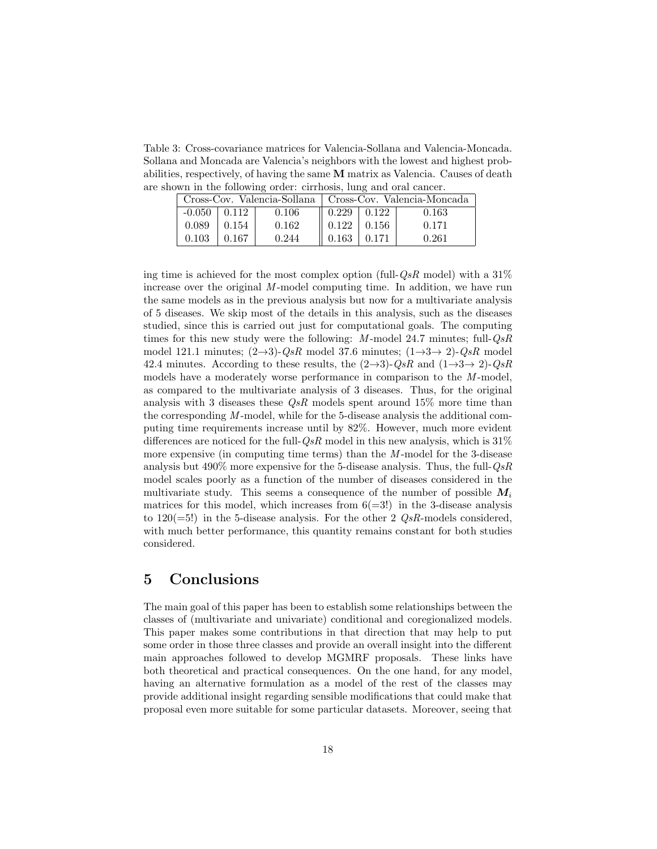Table 3: Cross-covariance matrices for Valencia-Sollana and Valencia-Moncada. Sollana and Moncada are Valencia's neighbors with the lowest and highest probabilities, respectively, of having the same M matrix as Valencia. Causes of death are shown in the following order: cirrhosis, lung and oral cancer.

| Cross-Cov. Valencia-Sollana |         | Cross-Cov. Valencia-Moncada |                                     |       |       |
|-----------------------------|---------|-----------------------------|-------------------------------------|-------|-------|
| $-0.050$                    | 1,0.112 | 0.106                       | $\parallel$ 0.229 $\parallel$ 0.122 |       | 0.163 |
| 0.089                       | 0.154   | 0.162                       | $\parallel$ 0.122 $\parallel$       | 0.156 | 0.171 |
| 0.103                       | 0.167   | 0.244                       | 0.163                               | 0.171 | 0.261 |

ing time is achieved for the most complex option (full- $QsR$  model) with a 31% increase over the original  $M$ -model computing time. In addition, we have run the same models as in the previous analysis but now for a multivariate analysis of 5 diseases. We skip most of the details in this analysis, such as the diseases studied, since this is carried out just for computational goals. The computing times for this new study were the following:  $M$ -model 24.7 minutes; full- $QsR$ model 121.1 minutes;  $(2\rightarrow 3)$ -QsR model 37.6 minutes;  $(1\rightarrow 3 \rightarrow 2)$ -QsR model 42.4 minutes. According to these results, the  $(2\rightarrow 3)$ - $QsR$  and  $(1\rightarrow 3\rightarrow 2)$ - $QsR$ models have a moderately worse performance in comparison to the  $M$ -model, as compared to the multivariate analysis of 3 diseases. Thus, for the original analysis with 3 diseases these  $\mathcal{Q}$ s models spent around 15% more time than the corresponding  $M$ -model, while for the 5-disease analysis the additional computing time requirements increase until by 82%. However, much more evident differences are noticed for the full- $QsR$  model in this new analysis, which is  $31\%$ more expensive (in computing time terms) than the  $M$ -model for the 3-disease analysis but  $490\%$  more expensive for the 5-disease analysis. Thus, the full- $QsR$ model scales poorly as a function of the number of diseases considered in the multivariate study. This seems a consequence of the number of possible  $M_i$ matrices for this model, which increases from  $6(=3!)$  in the 3-disease analysis to  $120(=5!)$  in the 5-disease analysis. For the other 2  $QsR$ -models considered, with much better performance, this quantity remains constant for both studies considered.

## 5 Conclusions

The main goal of this paper has been to establish some relationships between the classes of (multivariate and univariate) conditional and coregionalized models. This paper makes some contributions in that direction that may help to put some order in those three classes and provide an overall insight into the different main approaches followed to develop MGMRF proposals. These links have both theoretical and practical consequences. On the one hand, for any model, having an alternative formulation as a model of the rest of the classes may provide additional insight regarding sensible modifications that could make that proposal even more suitable for some particular datasets. Moreover, seeing that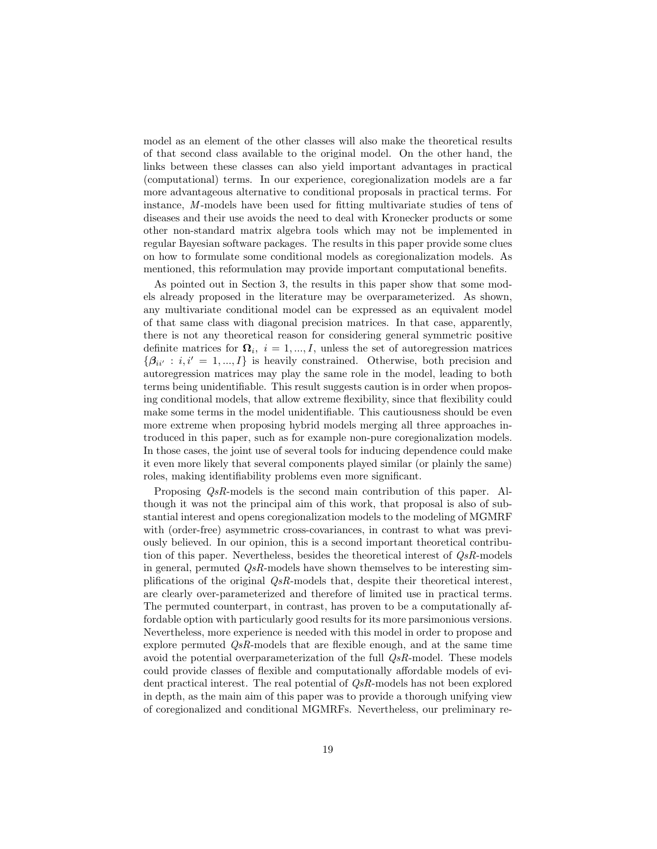model as an element of the other classes will also make the theoretical results of that second class available to the original model. On the other hand, the links between these classes can also yield important advantages in practical (computational) terms. In our experience, coregionalization models are a far more advantageous alternative to conditional proposals in practical terms. For instance, M -models have been used for fitting multivariate studies of tens of diseases and their use avoids the need to deal with Kronecker products or some other non-standard matrix algebra tools which may not be implemented in regular Bayesian software packages. The results in this paper provide some clues on how to formulate some conditional models as coregionalization models. As mentioned, this reformulation may provide important computational benefits.

As pointed out in Section 3, the results in this paper show that some models already proposed in the literature may be overparameterized. As shown, any multivariate conditional model can be expressed as an equivalent model of that same class with diagonal precision matrices. In that case, apparently, there is not any theoretical reason for considering general symmetric positive definite matrices for  $\mathbf{\Omega}_i$ ,  $i = 1, ..., I$ , unless the set of autoregression matrices  ${\beta_{ii'} : i, i' = 1, ..., I}$  is heavily constrained. Otherwise, both precision and autoregression matrices may play the same role in the model, leading to both terms being unidentifiable. This result suggests caution is in order when proposing conditional models, that allow extreme flexibility, since that flexibility could make some terms in the model unidentifiable. This cautiousness should be even more extreme when proposing hybrid models merging all three approaches introduced in this paper, such as for example non-pure coregionalization models. In those cases, the joint use of several tools for inducing dependence could make it even more likely that several components played similar (or plainly the same) roles, making identifiability problems even more significant.

Proposing QsR-models is the second main contribution of this paper. Although it was not the principal aim of this work, that proposal is also of substantial interest and opens coregionalization models to the modeling of MGMRF with (order-free) asymmetric cross-covariances, in contrast to what was previously believed. In our opinion, this is a second important theoretical contribution of this paper. Nevertheless, besides the theoretical interest of  $QsR$ -models in general, permuted  $Q_sR$ -models have shown themselves to be interesting simplifications of the original  $QsR$ -models that, despite their theoretical interest, are clearly over-parameterized and therefore of limited use in practical terms. The permuted counterpart, in contrast, has proven to be a computationally affordable option with particularly good results for its more parsimonious versions. Nevertheless, more experience is needed with this model in order to propose and explore permuted  $\mathcal{Q} sR$ -models that are flexible enough, and at the same time avoid the potential overparameterization of the full  $QsR$ -model. These models could provide classes of flexible and computationally affordable models of evident practical interest. The real potential of  $Q_sR$ -models has not been explored in depth, as the main aim of this paper was to provide a thorough unifying view of coregionalized and conditional MGMRFs. Nevertheless, our preliminary re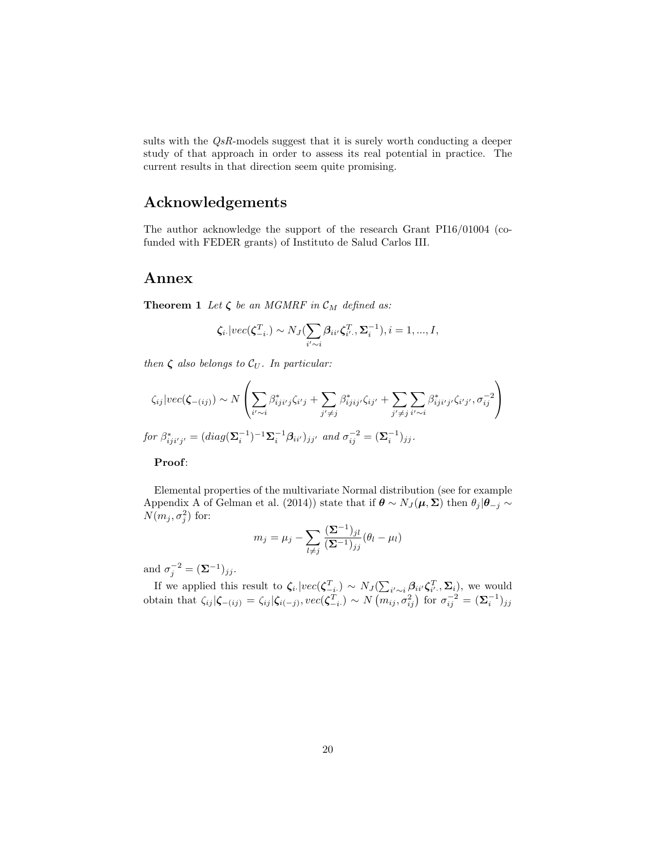sults with the QsR-models suggest that it is surely worth conducting a deeper study of that approach in order to assess its real potential in practice. The current results in that direction seem quite promising.

## Acknowledgements

The author acknowledge the support of the research Grant PI16/01004 (cofunded with FEDER grants) of Instituto de Salud Carlos III.

### Annex

**Theorem 1** Let  $\zeta$  be an MGMRF in  $\mathcal{C}_M$  defined as:

$$
\zeta_{i}.|vec(\zeta_{-i}^T) \sim N_J(\sum_{i' \sim i} \beta_{ii'} \zeta_{i'}^T, \Sigma_i^{-1}), i = 1, ..., I,
$$

then  $\zeta$  also belongs to  $\mathcal{C}_U$ . In particular:

$$
\zeta_{ij}|vec(\zeta_{-(ij)}) \sim N\left(\sum_{i' \sim i} \beta_{iji'j}^* \zeta_{i'j} + \sum_{j' \neq j} \beta_{ijij'}^* \zeta_{ij'} + \sum_{j' \neq j} \sum_{i' \sim i} \beta_{iji'j'}^* \zeta_{i'j'}, \sigma_{ij}^{-2}\right)
$$
  
for  $\beta_{iji'j'}^* = (diag(\Sigma_i^{-1})^{-1}\Sigma_i^{-1}\beta_{ii'})_{jj'}$  and  $\sigma_{ij}^{-2} = (\Sigma_i^{-1})_{jj}$ .

#### Proof:

Elemental properties of the multivariate Normal distribution (see for example Appendix A of Gelman et al. (2014)) state that if  $\theta \sim N_J(\mu, \Sigma)$  then  $\theta_j | \theta_{-j} \sim$  $N(m_j,\sigma_j^2)$  for:

$$
m_j = \mu_j - \sum_{l \neq j} \frac{(\mathbf{\Sigma}^{-1})_{jl}}{(\mathbf{\Sigma}^{-1})_{jj}} (\theta_l - \mu_l)
$$

and  $\sigma_j^{-2} = (\mathbf{\Sigma}^{-1})_{jj}$ .

If we applied this result to  $\zeta_i$ .  $|vec(\zeta_{-i}^T) \sim N_J(\sum_{i'\sim i} \beta_{ii'} \zeta_{i'}^T, \Sigma_i)$ , we would obtain that  $\zeta_{ij}|\boldsymbol{\zeta}_{-(ij)} = \zeta_{ij}|\boldsymbol{\zeta}_{i(-j)}, vec(\boldsymbol{\zeta}_{-i}^T) \sim N(m_{ij}, \sigma_{ij}^2)$  for  $\sigma_{ij}^{-2} = (\boldsymbol{\Sigma}_{i}^{-1})_{jj}$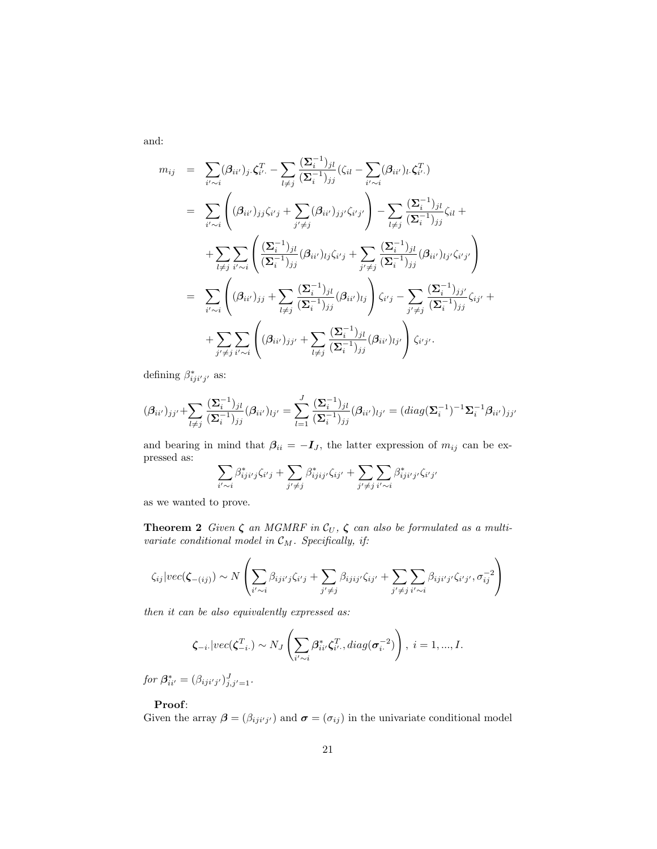$$
m_{ij} = \sum_{i' \sim i} (\beta_{ii'})_j \zeta_{i'}^T - \sum_{l \neq j} \frac{(\Sigma_i^{-1})_{jl}}{(\Sigma_i^{-1})_{jj}} (\zeta_{il} - \sum_{i' \sim i} (\beta_{ii'})_l \zeta_{i'}^T)
$$
  
\n
$$
= \sum_{i' \sim i} \left( (\beta_{ii'})_{jj} \zeta_{i'j} + \sum_{j' \neq j} (\beta_{ii'})_{jj'} \zeta_{i'j'} \right) - \sum_{l \neq j} \frac{(\Sigma_i^{-1})_{jl}}{(\Sigma_i^{-1})_{jj}} \zeta_{il} +
$$
  
\n
$$
+ \sum_{l \neq j} \sum_{i' \sim i} \left( \frac{(\Sigma_i^{-1})_{jl}}{(\Sigma_i^{-1})_{jj}} (\beta_{ii'})_{lj} \zeta_{i'j} + \sum_{j' \neq j} \frac{(\Sigma_i^{-1})_{jl}}{(\Sigma_i^{-1})_{jj}} (\beta_{ii'})_{lj'} \zeta_{i'j'} \right)
$$
  
\n
$$
= \sum_{i' \sim i} \left( (\beta_{ii'})_{jj} + \sum_{l \neq j} \frac{(\Sigma_i^{-1})_{jl}}{(\Sigma_i^{-1})_{jj}} (\beta_{ii'})_{lj} \right) \zeta_{i'j} - \sum_{j' \neq j} \frac{(\Sigma_i^{-1})_{jj'}}{(\Sigma_i^{-1})_{jj}} \zeta_{ij'} +
$$
  
\n
$$
+ \sum_{j' \neq j} \sum_{i' \sim i} \left( (\beta_{ii'})_{jj'} + \sum_{l \neq j} \frac{(\Sigma_i^{-1})_{jl}}{(\Sigma_i^{-1})_{jj}} (\beta_{ii'})_{lj'} \right) \zeta_{i'j'}.
$$

defining  $\beta^*_{iji'j'}$  as:

$$
(\beta_{ii'})_{jj'} + \sum_{l \neq j} \frac{(\Sigma_i^{-1})_{jl}}{(\Sigma_i^{-1})_{jj}} (\beta_{ii'})_{lj'} = \sum_{l=1}^J \frac{(\Sigma_i^{-1})_{jl}}{(\Sigma_i^{-1})_{jj}} (\beta_{ii'})_{lj'} = (diag(\Sigma_i^{-1})^{-1} \Sigma_i^{-1} \beta_{ii'})_{jj'}
$$

and bearing in mind that  $\beta_{ii} = -I_{J}$ , the latter expression of  $m_{ij}$  can be expressed as:

$$
\sum_{i' \sim i} \beta^*_{iji'j} \zeta_{i'j} + \sum_{j' \neq j} \beta^*_{ijij'} \zeta_{ij'} + \sum_{j' \neq j} \sum_{i' \sim i} \beta^*_{iji'j'} \zeta_{i'j'}
$$

as we wanted to prove.

**Theorem 2** Given  $\zeta$  an MGMRF in  $\mathcal{C}_U$ ,  $\zeta$  can also be formulated as a multivariate conditional model in  $\mathcal{C}_M$ . Specifically, if:

$$
\zeta_{ij}|vec(\zeta_{-(ij)}) \sim N\left(\sum_{i' \sim i} \beta_{iji'j}\zeta_{i'j} + \sum_{j' \neq j} \beta_{ijij'}\zeta_{ij'} + \sum_{j' \neq j} \sum_{i' \sim i} \beta_{iji'j'}\zeta_{i'j'}, \sigma_{ij}^{-2}\right)
$$

then it can be also equivalently expressed as:

$$
\boldsymbol{\zeta}_{-i} \cdot |vec(\boldsymbol{\zeta}_{-i\cdot}^T) \sim N_J\left(\sum_{i'\sim i} \beta_{ii'}^* \boldsymbol{\zeta}_{i'}^T, diag(\boldsymbol{\sigma}_{i\cdot}^{-2})\right), \ i = 1, ..., I.
$$

for  $\beta^*_{ii'} = (\beta_{iji'j'})^J_{j,j'=1}.$ 

#### Proof:

Given the array  $\boldsymbol{\beta} = (\beta_{iji'j'})$  and  $\boldsymbol{\sigma} = (\sigma_{ij})$  in the univariate conditional model

and: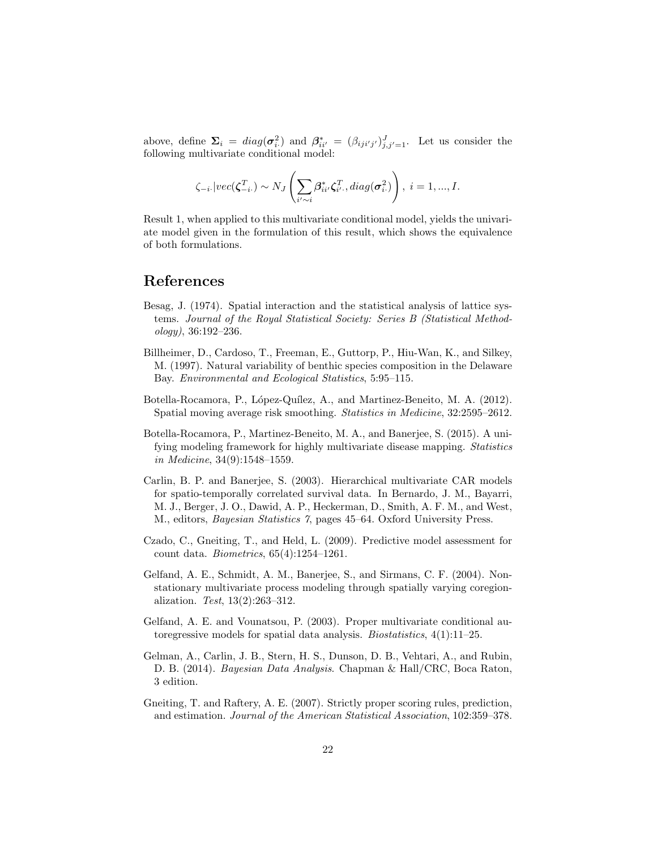above, define  $\Sigma_i = diag(\sigma_i^2)$  and  $\beta_{ii'}^* = (\beta_{iji'j'})_{j,j'=1}^J$ . Let us consider the following multivariate conditional model:

$$
\zeta_{-i\cdot} |vec(\boldsymbol{\zeta}_{-i\cdot}^T) \sim N_J\left(\sum_{i'\sim i} \beta_{ii'}^* \zeta_{i'}^T, diag(\boldsymbol{\sigma}_{i\cdot}^2)\right), \ i=1,...,I.
$$

Result 1, when applied to this multivariate conditional model, yields the univariate model given in the formulation of this result, which shows the equivalence of both formulations.

### References

- Besag, J. (1974). Spatial interaction and the statistical analysis of lattice systems. Journal of the Royal Statistical Society: Series B (Statistical Methodology), 36:192–236.
- Billheimer, D., Cardoso, T., Freeman, E., Guttorp, P., Hiu-Wan, K., and Silkey, M. (1997). Natural variability of benthic species composition in the Delaware Bay. Environmental and Ecological Statistics, 5:95–115.
- Botella-Rocamora, P., López-Quílez, A., and Martinez-Beneito, M. A. (2012). Spatial moving average risk smoothing. Statistics in Medicine, 32:2595–2612.
- Botella-Rocamora, P., Martinez-Beneito, M. A., and Banerjee, S. (2015). A unifying modeling framework for highly multivariate disease mapping. Statistics in Medicine, 34(9):1548–1559.
- Carlin, B. P. and Banerjee, S. (2003). Hierarchical multivariate CAR models for spatio-temporally correlated survival data. In Bernardo, J. M., Bayarri, M. J., Berger, J. O., Dawid, A. P., Heckerman, D., Smith, A. F. M., and West, M., editors, Bayesian Statistics 7, pages 45–64. Oxford University Press.
- Czado, C., Gneiting, T., and Held, L. (2009). Predictive model assessment for count data. Biometrics, 65(4):1254–1261.
- Gelfand, A. E., Schmidt, A. M., Banerjee, S., and Sirmans, C. F. (2004). Nonstationary multivariate process modeling through spatially varying coregionalization. Test, 13(2):263–312.
- Gelfand, A. E. and Vounatsou, P. (2003). Proper multivariate conditional autoregressive models for spatial data analysis. Biostatistics, 4(1):11–25.
- Gelman, A., Carlin, J. B., Stern, H. S., Dunson, D. B., Vehtari, A., and Rubin, D. B. (2014). Bayesian Data Analysis. Chapman & Hall/CRC, Boca Raton, 3 edition.
- Gneiting, T. and Raftery, A. E. (2007). Strictly proper scoring rules, prediction, and estimation. Journal of the American Statistical Association, 102:359–378.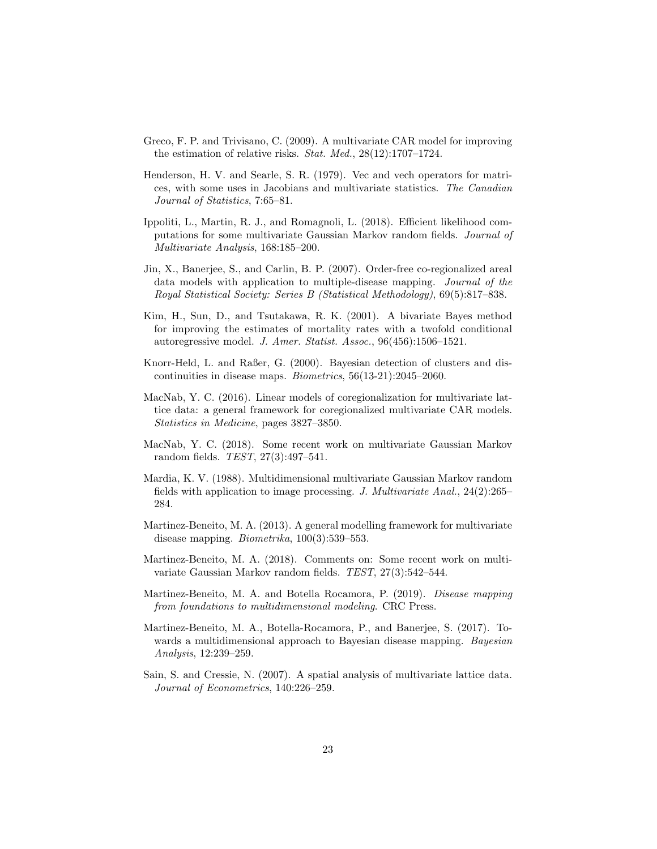- Greco, F. P. and Trivisano, C. (2009). A multivariate CAR model for improving the estimation of relative risks. Stat. Med., 28(12):1707–1724.
- Henderson, H. V. and Searle, S. R. (1979). Vec and vech operators for matrices, with some uses in Jacobians and multivariate statistics. The Canadian Journal of Statistics, 7:65–81.
- Ippoliti, L., Martin, R. J., and Romagnoli, L. (2018). Efficient likelihood computations for some multivariate Gaussian Markov random fields. Journal of Multivariate Analysis, 168:185–200.
- Jin, X., Banerjee, S., and Carlin, B. P. (2007). Order-free co-regionalized areal data models with application to multiple-disease mapping. Journal of the Royal Statistical Society: Series B (Statistical Methodology), 69(5):817–838.
- Kim, H., Sun, D., and Tsutakawa, R. K. (2001). A bivariate Bayes method for improving the estimates of mortality rates with a twofold conditional autoregressive model. J. Amer. Statist. Assoc., 96(456):1506–1521.
- Knorr-Held, L. and Raßer, G. (2000). Bayesian detection of clusters and discontinuities in disease maps. Biometrics, 56(13-21):2045–2060.
- MacNab, Y. C. (2016). Linear models of coregionalization for multivariate lattice data: a general framework for coregionalized multivariate CAR models. Statistics in Medicine, pages 3827–3850.
- MacNab, Y. C. (2018). Some recent work on multivariate Gaussian Markov random fields. TEST, 27(3):497–541.
- Mardia, K. V. (1988). Multidimensional multivariate Gaussian Markov random fields with application to image processing. J. Multivariate Anal.,  $24(2):265-$ 284.
- Martinez-Beneito, M. A. (2013). A general modelling framework for multivariate disease mapping. Biometrika, 100(3):539–553.
- Martinez-Beneito, M. A. (2018). Comments on: Some recent work on multivariate Gaussian Markov random fields. TEST, 27(3):542–544.
- Martinez-Beneito, M. A. and Botella Rocamora, P. (2019). Disease mapping from foundations to multidimensional modeling. CRC Press.
- Martinez-Beneito, M. A., Botella-Rocamora, P., and Banerjee, S. (2017). Towards a multidimensional approach to Bayesian disease mapping. Bayesian Analysis, 12:239–259.
- Sain, S. and Cressie, N. (2007). A spatial analysis of multivariate lattice data. Journal of Econometrics, 140:226–259.